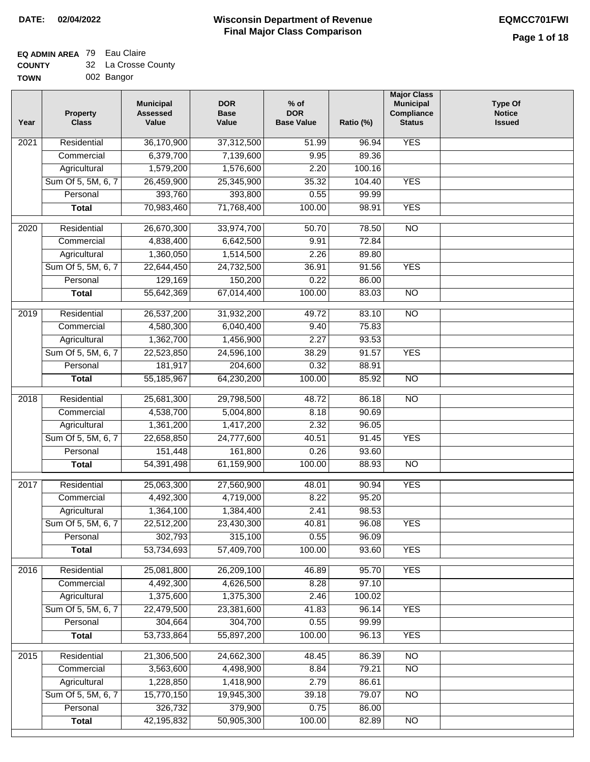I

### **EQ ADMIN AREA** 79 Eau Claire  $\sim$

| <b>COUNTY</b> | 32 La Crosse County |
|---------------|---------------------|
| <b>TOWN</b>   | 002 Bangor          |

| Year | <b>Property</b><br><b>Class</b> | <b>Municipal</b><br><b>Assessed</b><br>Value | <b>DOR</b><br><b>Base</b><br>Value | $%$ of<br><b>DOR</b><br><b>Base Value</b> | Ratio (%)      | <b>Major Class</b><br><b>Municipal</b><br>Compliance<br><b>Status</b> | <b>Type Of</b><br><b>Notice</b><br><b>Issued</b> |
|------|---------------------------------|----------------------------------------------|------------------------------------|-------------------------------------------|----------------|-----------------------------------------------------------------------|--------------------------------------------------|
| 2021 | Residential                     | 36,170,900                                   | 37,312,500                         | 51.99                                     | 96.94          | <b>YES</b>                                                            |                                                  |
|      | Commercial                      | 6,379,700                                    | 7,139,600                          | 9.95                                      | 89.36          |                                                                       |                                                  |
|      | Agricultural                    | 1,579,200                                    | 1,576,600                          | 2.20                                      | 100.16         |                                                                       |                                                  |
|      | Sum Of 5, 5M, 6, 7              | 26,459,900                                   | 25,345,900                         | 35.32                                     | 104.40         | <b>YES</b>                                                            |                                                  |
|      | Personal                        | 393,760                                      | 393,800                            | 0.55                                      | 99.99          |                                                                       |                                                  |
|      | <b>Total</b>                    | 70,983,460                                   | 71,768,400                         | 100.00                                    | 98.91          | <b>YES</b>                                                            |                                                  |
| 2020 | Residential                     | 26,670,300                                   | 33,974,700                         | 50.70                                     | 78.50          | N <sub>O</sub>                                                        |                                                  |
|      | Commercial                      | 4,838,400                                    | 6,642,500                          | 9.91                                      | 72.84          |                                                                       |                                                  |
|      | Agricultural                    | 1,360,050                                    | 1,514,500                          | 2.26                                      | 89.80          |                                                                       |                                                  |
|      | Sum Of 5, 5M, 6, 7              | 22,644,450                                   | 24,732,500                         | 36.91                                     | 91.56          | <b>YES</b>                                                            |                                                  |
|      | Personal                        | 129,169                                      | 150,200                            | 0.22                                      | 86.00          |                                                                       |                                                  |
|      | <b>Total</b>                    | 55,642,369                                   | 67,014,400                         | 100.00                                    | 83.03          | $\overline{NO}$                                                       |                                                  |
|      |                                 |                                              |                                    |                                           |                |                                                                       |                                                  |
| 2019 | Residential                     | 26,537,200                                   | 31,932,200                         | 49.72                                     | 83.10          | $\overline{NO}$                                                       |                                                  |
|      | Commercial                      | 4,580,300                                    | 6,040,400                          | 9.40                                      | 75.83          |                                                                       |                                                  |
|      | Agricultural                    | 1,362,700                                    | 1,456,900                          | 2.27                                      | 93.53          |                                                                       |                                                  |
|      | Sum Of 5, 5M, 6, 7              | 22,523,850                                   | 24,596,100                         | 38.29                                     | 91.57          | <b>YES</b>                                                            |                                                  |
|      | Personal                        | 181,917                                      | 204,600                            | 0.32                                      | 88.91          |                                                                       |                                                  |
|      | <b>Total</b>                    | 55,185,967                                   | 64,230,200                         | 100.00                                    | 85.92          | N <sub>O</sub>                                                        |                                                  |
| 2018 | Residential                     | 25,681,300                                   | 29,798,500                         | 48.72                                     | 86.18          | $\overline{NO}$                                                       |                                                  |
|      | Commercial                      | 4,538,700                                    | 5,004,800                          | 8.18                                      | 90.69          |                                                                       |                                                  |
|      | Agricultural                    | 1,361,200                                    | 1,417,200                          | 2.32                                      | 96.05          |                                                                       |                                                  |
|      | Sum Of 5, 5M, 6, 7              | 22,658,850                                   | 24,777,600                         | 40.51                                     | 91.45          | <b>YES</b>                                                            |                                                  |
|      | Personal                        | 151,448                                      | 161,800                            | 0.26                                      | 93.60          |                                                                       |                                                  |
|      | <b>Total</b>                    | 54,391,498                                   | 61,159,900                         | 100.00                                    | 88.93          | <b>NO</b>                                                             |                                                  |
| 2017 | Residential                     | 25,063,300                                   | 27,560,900                         | 48.01                                     | 90.94          | <b>YES</b>                                                            |                                                  |
|      | Commercial                      | 4,492,300                                    | 4,719,000                          | 8.22                                      | 95.20          |                                                                       |                                                  |
|      | Agricultural                    | 1,364,100                                    | 1,384,400                          | 2.41                                      | 98.53          |                                                                       |                                                  |
|      | Sum Of 5, 5M, 6, 7              | 22,512,200                                   | 23,430,300                         | 40.81                                     | 96.08          | <b>YES</b>                                                            |                                                  |
|      | Personal                        | 302,793                                      | 315,100                            | 0.55                                      | 96.09          |                                                                       |                                                  |
|      | <b>Total</b>                    | 53,734,693                                   | 57,409,700                         | 100.00                                    | 93.60          | <b>YES</b>                                                            |                                                  |
|      |                                 |                                              |                                    |                                           |                |                                                                       |                                                  |
| 2016 | Residential<br>Commercial       | 25,081,800<br>4,492,300                      | 26,209,100<br>4,626,500            | 46.89<br>8.28                             | 95.70<br>97.10 | <b>YES</b>                                                            |                                                  |
|      | Agricultural                    | 1,375,600                                    | 1,375,300                          | 2.46                                      | 100.02         |                                                                       |                                                  |
|      | Sum Of 5, 5M, 6, 7              | 22,479,500                                   | 23,381,600                         | 41.83                                     | 96.14          | <b>YES</b>                                                            |                                                  |
|      | Personal                        | 304,664                                      | 304,700                            | 0.55                                      | 99.99          |                                                                       |                                                  |
|      | <b>Total</b>                    | 53,733,864                                   | 55,897,200                         | 100.00                                    | 96.13          | <b>YES</b>                                                            |                                                  |
|      |                                 |                                              |                                    |                                           |                |                                                                       |                                                  |
| 2015 | Residential                     | 21,306,500                                   | 24,662,300                         | 48.45                                     | 86.39          | $\overline{NO}$                                                       |                                                  |
|      | Commercial                      | 3,563,600                                    | 4,498,900                          | 8.84                                      | 79.21          | $\overline{NO}$                                                       |                                                  |
|      | Agricultural                    | 1,228,850                                    | 1,418,900                          | 2.79                                      | 86.61          |                                                                       |                                                  |
|      | Sum Of 5, 5M, 6, 7              | 15,770,150                                   | 19,945,300                         | 39.18                                     | 79.07          | $\overline{NO}$                                                       |                                                  |
|      | Personal                        | 326,732                                      | 379,900                            | 0.75                                      | 86.00          |                                                                       |                                                  |
|      | <b>Total</b>                    | 42,195,832                                   | 50,905,300                         | 100.00                                    | 82.89          | NO                                                                    |                                                  |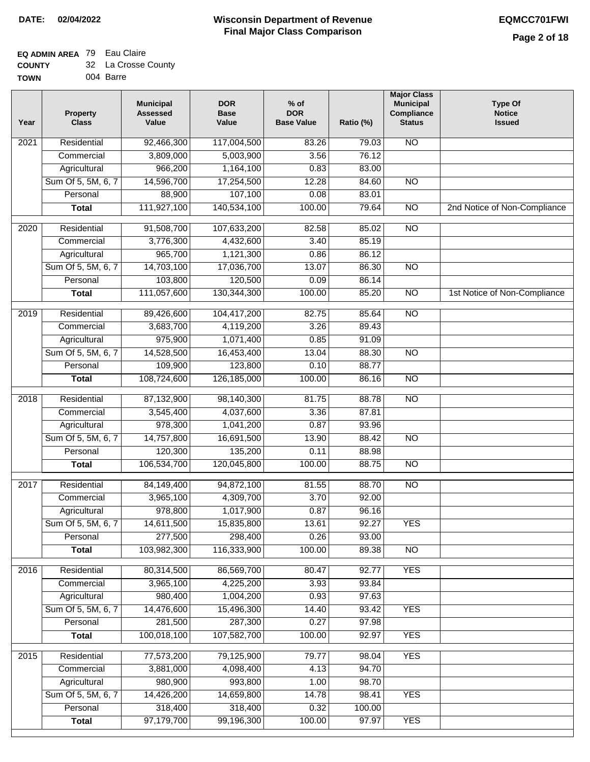### **Wisconsin Department of Revenue Final Major Class Comparison DATE: 02/04/2022 EQMCC701FWI**

#### **EQ ADMIN AREA** 79 Eau Claire **COUNTY** 32 La Crosse County

| <b>COUNT</b> | <u>J</u> La UIUSSE UU |
|--------------|-----------------------|
| <b>TOWN</b>  | 004 Barre             |

| Year              | <b>Property</b><br><b>Class</b> | <b>Municipal</b><br><b>Assessed</b><br>Value | <b>DOR</b><br><b>Base</b><br>Value | $%$ of<br><b>DOR</b><br><b>Base Value</b> | Ratio (%) | <b>Major Class</b><br><b>Municipal</b><br>Compliance<br><b>Status</b> | <b>Type Of</b><br><b>Notice</b><br><b>Issued</b> |
|-------------------|---------------------------------|----------------------------------------------|------------------------------------|-------------------------------------------|-----------|-----------------------------------------------------------------------|--------------------------------------------------|
| 2021              | Residential                     | 92,466,300                                   | 117,004,500                        | 83.26                                     | 79.03     | N <sub>O</sub>                                                        |                                                  |
|                   | Commercial                      | 3,809,000                                    | 5,003,900                          | 3.56                                      | 76.12     |                                                                       |                                                  |
|                   | Agricultural                    | 966,200                                      | 1,164,100                          | 0.83                                      | 83.00     |                                                                       |                                                  |
|                   | Sum Of 5, 5M, 6, 7              | 14,596,700                                   | 17,254,500                         | 12.28                                     | 84.60     | $\overline{NO}$                                                       |                                                  |
|                   | Personal                        | 88,900                                       | 107,100                            | 0.08                                      | 83.01     |                                                                       |                                                  |
|                   | <b>Total</b>                    | 111,927,100                                  | 140,534,100                        | 100.00                                    | 79.64     | $\overline{NO}$                                                       | 2nd Notice of Non-Compliance                     |
| 2020              | Residential                     | 91,508,700                                   | 107,633,200                        | 82.58                                     | 85.02     | $\overline{NO}$                                                       |                                                  |
|                   | Commercial                      | 3,776,300                                    | 4,432,600                          | 3.40                                      | 85.19     |                                                                       |                                                  |
|                   | Agricultural                    | 965,700                                      | 1,121,300                          | 0.86                                      | 86.12     |                                                                       |                                                  |
|                   | Sum Of 5, 5M, 6, 7              | 14,703,100                                   | 17,036,700                         | 13.07                                     | 86.30     | $\overline{NO}$                                                       |                                                  |
|                   | Personal                        | 103,800                                      | 120,500                            | 0.09                                      | 86.14     |                                                                       |                                                  |
|                   | <b>Total</b>                    | 111,057,600                                  | 130,344,300                        | 100.00                                    | 85.20     | $\overline{NO}$                                                       | 1st Notice of Non-Compliance                     |
|                   |                                 |                                              |                                    |                                           |           |                                                                       |                                                  |
| 2019              | Residential                     | 89,426,600                                   | 104,417,200                        | 82.75                                     | 85.64     | $\overline{10}$                                                       |                                                  |
|                   | Commercial                      | 3,683,700                                    | 4,119,200                          | 3.26                                      | 89.43     |                                                                       |                                                  |
|                   | Agricultural                    | 975,900                                      | 1,071,400                          | 0.85                                      | 91.09     |                                                                       |                                                  |
|                   | Sum Of 5, 5M, 6, 7              | 14,528,500                                   | 16,453,400                         | 13.04                                     | 88.30     | $\overline{N}$                                                        |                                                  |
|                   | Personal                        | 109,900                                      | 123,800                            | 0.10                                      | 88.77     |                                                                       |                                                  |
|                   | <b>Total</b>                    | 108,724,600                                  | 126,185,000                        | 100.00                                    | 86.16     | $\overline{NO}$                                                       |                                                  |
| $\overline{2018}$ | Residential                     | 87,132,900                                   | 98,140,300                         | 81.75                                     | 88.78     | $\overline{10}$                                                       |                                                  |
|                   | Commercial                      | 3,545,400                                    | 4,037,600                          | 3.36                                      | 87.81     |                                                                       |                                                  |
|                   | Agricultural                    | 978,300                                      | 1,041,200                          | 0.87                                      | 93.96     |                                                                       |                                                  |
|                   | Sum Of 5, 5M, 6, 7              | 14,757,800                                   | 16,691,500                         | 13.90                                     | 88.42     | $\overline{10}$                                                       |                                                  |
|                   | Personal                        | 120,300                                      | 135,200                            | 0.11                                      | 88.98     |                                                                       |                                                  |
|                   | <b>Total</b>                    | 106,534,700                                  | 120,045,800                        | 100.00                                    | 88.75     | <b>NO</b>                                                             |                                                  |
| 2017              | Residential                     | 84,149,400                                   | 94,872,100                         | 81.55                                     | 88.70     | N <sub>O</sub>                                                        |                                                  |
|                   | Commercial                      | 3,965,100                                    | 4,309,700                          | 3.70                                      | 92.00     |                                                                       |                                                  |
|                   | Agricultural                    | 978,800                                      | 1,017,900                          | 0.87                                      | 96.16     |                                                                       |                                                  |
|                   | Sum Of 5, 5M, 6, 7              | 14,611,500                                   | 15,835,800                         | 13.61                                     | 92.27     | <b>YES</b>                                                            |                                                  |
|                   | Personal                        | 277,500                                      | 298,400                            | 0.26                                      | 93.00     |                                                                       |                                                  |
|                   | <b>Total</b>                    | 103,982,300                                  | 116,333,900                        | 100.00                                    | 89.38     | $\overline{NO}$                                                       |                                                  |
| 2016              | Residential                     | 80,314,500                                   | 86,569,700                         | 80.47                                     | 92.77     | <b>YES</b>                                                            |                                                  |
|                   | Commercial                      | 3,965,100                                    | 4,225,200                          | 3.93                                      | 93.84     |                                                                       |                                                  |
|                   | Agricultural                    | 980,400                                      | 1,004,200                          | 0.93                                      | 97.63     |                                                                       |                                                  |
|                   | Sum Of 5, 5M, 6, 7              | 14,476,600                                   | 15,496,300                         | 14.40                                     | 93.42     | <b>YES</b>                                                            |                                                  |
|                   | Personal                        | 281,500                                      | 287,300                            | 0.27                                      | 97.98     |                                                                       |                                                  |
|                   | <b>Total</b>                    | 100,018,100                                  | 107,582,700                        | 100.00                                    | 92.97     | <b>YES</b>                                                            |                                                  |
|                   |                                 |                                              |                                    |                                           |           |                                                                       |                                                  |
| 2015              | Residential                     | 77,573,200                                   | 79,125,900                         | 79.77                                     | 98.04     | <b>YES</b>                                                            |                                                  |
|                   | Commercial                      | 3,881,000                                    | 4,098,400                          | 4.13                                      | 94.70     |                                                                       |                                                  |
|                   | Agricultural                    | 980,900                                      | 993,800                            | 1.00                                      | 98.70     |                                                                       |                                                  |
|                   | Sum Of 5, 5M, 6, 7              | 14,426,200                                   | 14,659,800                         | 14.78                                     | 98.41     | <b>YES</b>                                                            |                                                  |
|                   | Personal                        | 318,400                                      | 318,400                            | 0.32                                      | 100.00    |                                                                       |                                                  |
|                   | <b>Total</b>                    | 97,179,700                                   | 99,196,300                         | 100.00                                    | 97.97     | <b>YES</b>                                                            |                                                  |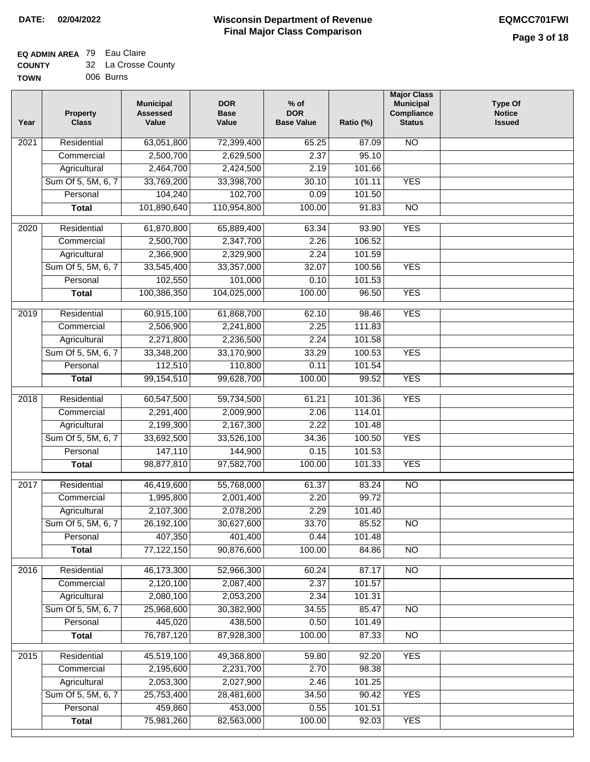#### **EQ ADMIN AREA** 79 Eau Claire **COUNTY** 32 La Crosse County

| ------      |           |
|-------------|-----------|
| <b>TOWN</b> | 006 Burns |

| Year             | <b>Property</b><br><b>Class</b> | <b>Municipal</b><br><b>Assessed</b><br>Value | <b>DOR</b><br><b>Base</b><br>Value | $%$ of<br><b>DOR</b><br><b>Base Value</b> | Ratio (%) | <b>Major Class</b><br><b>Municipal</b><br>Compliance<br><b>Status</b> | <b>Type Of</b><br><b>Notice</b><br><b>Issued</b> |
|------------------|---------------------------------|----------------------------------------------|------------------------------------|-------------------------------------------|-----------|-----------------------------------------------------------------------|--------------------------------------------------|
| 2021             | Residential                     | 63,051,800                                   | 72,399,400                         | 65.25                                     | 87.09     | N <sub>O</sub>                                                        |                                                  |
|                  | Commercial                      | 2,500,700                                    | 2,629,500                          | 2.37                                      | 95.10     |                                                                       |                                                  |
|                  | Agricultural                    | 2,464,700                                    | 2,424,500                          | 2.19                                      | 101.66    |                                                                       |                                                  |
|                  | Sum Of 5, 5M, 6, 7              | 33,769,200                                   | 33,398,700                         | 30.10                                     | 101.11    | <b>YES</b>                                                            |                                                  |
|                  | Personal                        | 104,240                                      | 102,700                            | 0.09                                      | 101.50    |                                                                       |                                                  |
|                  | <b>Total</b>                    | 101,890,640                                  | 110,954,800                        | 100.00                                    | 91.83     | $\overline{NO}$                                                       |                                                  |
| $\frac{1}{2020}$ | Residential                     | 61,870,800                                   | 65,889,400                         | 63.34                                     | 93.90     | <b>YES</b>                                                            |                                                  |
|                  | Commercial                      | 2,500,700                                    | 2,347,700                          | 2.26                                      | 106.52    |                                                                       |                                                  |
|                  | Agricultural                    | 2,366,900                                    | 2,329,900                          | 2.24                                      | 101.59    |                                                                       |                                                  |
|                  | Sum Of 5, 5M, 6, 7              | 33,545,400                                   | 33,357,000                         | 32.07                                     | 100.56    | <b>YES</b>                                                            |                                                  |
|                  | Personal                        | 102,550                                      | 101,000                            | 0.10                                      | 101.53    |                                                                       |                                                  |
|                  | <b>Total</b>                    | 100,386,350                                  | 104,025,000                        | 100.00                                    | 96.50     | <b>YES</b>                                                            |                                                  |
| $\frac{1}{2019}$ | Residential                     | 60,915,100                                   | 61,868,700                         | 62.10                                     | 98.46     | <b>YES</b>                                                            |                                                  |
|                  | Commercial                      | 2,506,900                                    | 2,241,800                          | 2.25                                      | 111.83    |                                                                       |                                                  |
|                  | Agricultural                    | 2,271,800                                    | 2,236,500                          | 2.24                                      | 101.58    |                                                                       |                                                  |
|                  | Sum Of 5, 5M, 6, 7              | 33,348,200                                   | 33,170,900                         | 33.29                                     | 100.53    | <b>YES</b>                                                            |                                                  |
|                  | Personal                        | 112,510                                      | 110,800                            | 0.11                                      | 101.54    |                                                                       |                                                  |
|                  | <b>Total</b>                    | 99,154,510                                   | 99,628,700                         | 100.00                                    | 99.52     | <b>YES</b>                                                            |                                                  |
|                  |                                 |                                              |                                    |                                           |           |                                                                       |                                                  |
| 2018             | Residential                     | 60,547,500                                   | 59,734,500                         | 61.21                                     | 101.36    | <b>YES</b>                                                            |                                                  |
|                  | Commercial                      | 2,291,400                                    | 2,009,900                          | 2.06                                      | 114.01    |                                                                       |                                                  |
|                  | Agricultural                    | 2,199,300                                    | 2,167,300                          | 2.22                                      | 101.48    |                                                                       |                                                  |
|                  | Sum Of 5, 5M, 6, 7              | 33,692,500                                   | 33,526,100                         | 34.36                                     | 100.50    | <b>YES</b>                                                            |                                                  |
|                  | Personal                        | 147,110                                      | 144,900                            | 0.15                                      | 101.53    |                                                                       |                                                  |
|                  | <b>Total</b>                    | 98,877,810                                   | 97,582,700                         | 100.00                                    | 101.33    | <b>YES</b>                                                            |                                                  |
| 2017             | Residential                     | 46,419,600                                   | 55,768,000                         | 61.37                                     | 83.24     | $\overline{NO}$                                                       |                                                  |
|                  | Commercial                      | 1,995,800                                    | 2,001,400                          | 2.20                                      | 99.72     |                                                                       |                                                  |
|                  | Agricultural                    | 2,107,300                                    | 2,078,200                          | 2.29                                      | 101.40    |                                                                       |                                                  |
|                  | Sum Of 5, 5M, 6, 7              | 26, 192, 100                                 | 30,627,600                         | 33.70                                     | 85.52     | $\overline{NO}$                                                       |                                                  |
|                  | Personal                        | 407,350                                      | 401,400                            | 0.44                                      | 101.48    |                                                                       |                                                  |
|                  | <b>Total</b>                    | 77,122,150                                   | 90,876,600                         | 100.00                                    | 84.86     | $\overline{N}$                                                        |                                                  |
| 2016             | Residential                     | 46,173,300                                   | 52,966,300                         | 60.24                                     | 87.17     | N <sub>O</sub>                                                        |                                                  |
|                  | Commercial                      | 2,120,100                                    | 2,087,400                          | 2.37                                      | 101.57    |                                                                       |                                                  |
|                  | Agricultural                    | 2,080,100                                    | 2,053,200                          | 2.34                                      | 101.31    |                                                                       |                                                  |
|                  | Sum Of 5, 5M, 6, 7              | 25,968,600                                   | 30,382,900                         | 34.55                                     | 85.47     | N <sub>O</sub>                                                        |                                                  |
|                  | Personal                        | 445,020                                      | 438,500                            | 0.50                                      | 101.49    |                                                                       |                                                  |
|                  | <b>Total</b>                    | 76,787,120                                   | 87,928,300                         | 100.00                                    | 87.33     | $\overline{NO}$                                                       |                                                  |
|                  |                                 |                                              |                                    |                                           |           |                                                                       |                                                  |
| 2015             | Residential                     | 45,519,100                                   | 49,368,800                         | 59.80                                     | 92.20     | <b>YES</b>                                                            |                                                  |
|                  | Commercial                      | 2,195,600                                    | 2,231,700                          | 2.70                                      | 98.38     |                                                                       |                                                  |
|                  | Agricultural                    | 2,053,300                                    | 2,027,900                          | 2.46                                      | 101.25    |                                                                       |                                                  |
|                  | Sum Of 5, 5M, 6, 7              | 25,753,400                                   | 28,481,600                         | 34.50                                     | 90.42     | <b>YES</b>                                                            |                                                  |
|                  | Personal                        | 459,860                                      | 453,000                            | 0.55                                      | 101.51    |                                                                       |                                                  |
|                  | <b>Total</b>                    | 75,981,260                                   | 82,563,000                         | 100.00                                    | 92.03     | <b>YES</b>                                                            |                                                  |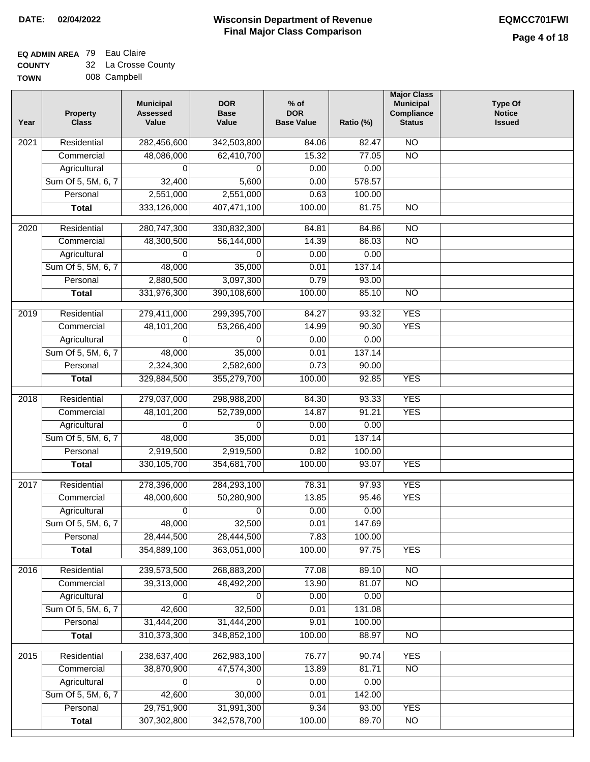### **EQ ADMIN AREA** 79 Eau Claire

| <b>COUNTY</b> | 32 La Crosse County |
|---------------|---------------------|
| <b>TOWN</b>   | 008 Campbell        |

| Year              | <b>Property</b><br><b>Class</b> | <b>Municipal</b><br><b>Assessed</b><br>Value | <b>DOR</b><br><b>Base</b><br>Value | $%$ of<br><b>DOR</b><br><b>Base Value</b> | Ratio (%) | <b>Major Class</b><br><b>Municipal</b><br>Compliance<br><b>Status</b> | <b>Type Of</b><br><b>Notice</b><br><b>Issued</b> |
|-------------------|---------------------------------|----------------------------------------------|------------------------------------|-------------------------------------------|-----------|-----------------------------------------------------------------------|--------------------------------------------------|
| 2021              | Residential                     | 282,456,600                                  | 342,503,800                        | 84.06                                     | 82.47     | N <sub>O</sub>                                                        |                                                  |
|                   | Commercial                      | 48,086,000                                   | 62,410,700                         | 15.32                                     | 77.05     | $\overline{NO}$                                                       |                                                  |
|                   | Agricultural                    | 0                                            | $\Omega$                           | 0.00                                      | 0.00      |                                                                       |                                                  |
|                   | Sum Of 5, 5M, 6, 7              | 32,400                                       | 5,600                              | 0.00                                      | 578.57    |                                                                       |                                                  |
|                   | Personal                        | 2,551,000                                    | 2,551,000                          | 0.63                                      | 100.00    |                                                                       |                                                  |
|                   | <b>Total</b>                    | 333,126,000                                  | 407,471,100                        | 100.00                                    | 81.75     | $\overline{NO}$                                                       |                                                  |
| 2020              | Residential                     | 280,747,300                                  | 330,832,300                        | 84.81                                     | 84.86     | <b>NO</b>                                                             |                                                  |
|                   | Commercial                      | 48,300,500                                   | 56,144,000                         | 14.39                                     | 86.03     | $\overline{NO}$                                                       |                                                  |
|                   | Agricultural                    | 0                                            | 0                                  | 0.00                                      | 0.00      |                                                                       |                                                  |
|                   | Sum Of 5, 5M, 6, 7              | 48,000                                       | 35,000                             | 0.01                                      | 137.14    |                                                                       |                                                  |
|                   | Personal                        | 2,880,500                                    | 3,097,300                          | 0.79                                      | 93.00     |                                                                       |                                                  |
|                   | <b>Total</b>                    | 331,976,300                                  | 390,108,600                        | 100.00                                    | 85.10     | <b>NO</b>                                                             |                                                  |
|                   |                                 |                                              |                                    |                                           |           |                                                                       |                                                  |
| 2019              | Residential                     | 279,411,000                                  | 299,395,700                        | 84.27                                     | 93.32     | <b>YES</b>                                                            |                                                  |
|                   | Commercial                      | 48,101,200                                   | 53,266,400                         | 14.99                                     | 90.30     | <b>YES</b>                                                            |                                                  |
|                   | Agricultural                    | $\Omega$                                     | 0                                  | 0.00                                      | 0.00      |                                                                       |                                                  |
|                   | Sum Of 5, 5M, 6, 7              | 48,000                                       | 35,000                             | 0.01                                      | 137.14    |                                                                       |                                                  |
|                   | Personal                        | 2,324,300                                    | 2,582,600                          | 0.73                                      | 90.00     |                                                                       |                                                  |
|                   | <b>Total</b>                    | 329,884,500                                  | 355,279,700                        | 100.00                                    | 92.85     | <b>YES</b>                                                            |                                                  |
| 2018              | Residential                     | 279,037,000                                  | 298,988,200                        | 84.30                                     | 93.33     | <b>YES</b>                                                            |                                                  |
|                   | Commercial                      | 48,101,200                                   | 52,739,000                         | 14.87                                     | 91.21     | <b>YES</b>                                                            |                                                  |
|                   | Agricultural                    | 0                                            | 0                                  | 0.00                                      | 0.00      |                                                                       |                                                  |
|                   | Sum Of 5, 5M, 6, 7              | 48,000                                       | 35,000                             | 0.01                                      | 137.14    |                                                                       |                                                  |
|                   | Personal                        | 2,919,500                                    | 2,919,500                          | 0.82                                      | 100.00    |                                                                       |                                                  |
|                   | <b>Total</b>                    | 330, 105, 700                                | 354,681,700                        | 100.00                                    | 93.07     | <b>YES</b>                                                            |                                                  |
| 2017              | Residential                     | 278,396,000                                  | 284,293,100                        | 78.31                                     | 97.93     | <b>YES</b>                                                            |                                                  |
|                   | Commercial                      | 48,000,600                                   | 50,280,900                         | 13.85                                     | 95.46     | <b>YES</b>                                                            |                                                  |
|                   | Agricultural                    | 0                                            | 0                                  | 0.00                                      | 0.00      |                                                                       |                                                  |
|                   | Sum Of 5, 5M, 6, 7              | 48,000                                       | 32,500                             | 0.01                                      | 147.69    |                                                                       |                                                  |
|                   | Personal                        | 28,444,500                                   | 28,444,500                         | 7.83                                      | 100.00    |                                                                       |                                                  |
|                   | <b>Total</b>                    | 354,889,100                                  | 363,051,000                        | 100.00                                    | 97.75     | <b>YES</b>                                                            |                                                  |
| $\overline{2016}$ | Residential                     | 239,573,500                                  | 268,883,200                        | 77.08                                     | 89.10     | N <sub>O</sub>                                                        |                                                  |
|                   | Commercial                      | 39,313,000                                   | 48,492,200                         | 13.90                                     | 81.07     | $\overline{NO}$                                                       |                                                  |
|                   | Agricultural                    | $\Omega$                                     | $\Omega$                           | 0.00                                      | 0.00      |                                                                       |                                                  |
|                   | Sum Of 5, 5M, 6, 7              | 42,600                                       | 32,500                             | 0.01                                      | 131.08    |                                                                       |                                                  |
|                   | Personal                        | 31,444,200                                   | 31,444,200                         | 9.01                                      | 100.00    |                                                                       |                                                  |
|                   | <b>Total</b>                    | 310, 373, 300                                | 348,852,100                        | 100.00                                    | 88.97     | <b>NO</b>                                                             |                                                  |
| 2015              | Residential                     | 238,637,400                                  | 262,983,100                        | 76.77                                     | 90.74     | <b>YES</b>                                                            |                                                  |
|                   | Commercial                      | 38,870,900                                   | 47,574,300                         | 13.89                                     | 81.71     | $\overline{NO}$                                                       |                                                  |
|                   | Agricultural                    | 0                                            | 0                                  | 0.00                                      | 0.00      |                                                                       |                                                  |
|                   | Sum Of 5, 5M, 6, 7              | 42,600                                       | 30,000                             | 0.01                                      | 142.00    |                                                                       |                                                  |
|                   | Personal                        | 29,751,900                                   | 31,991,300                         | 9.34                                      | 93.00     | <b>YES</b>                                                            |                                                  |
|                   | <b>Total</b>                    | 307,302,800                                  | 342,578,700                        | 100.00                                    | 89.70     | NO                                                                    |                                                  |
|                   |                                 |                                              |                                    |                                           |           |                                                                       |                                                  |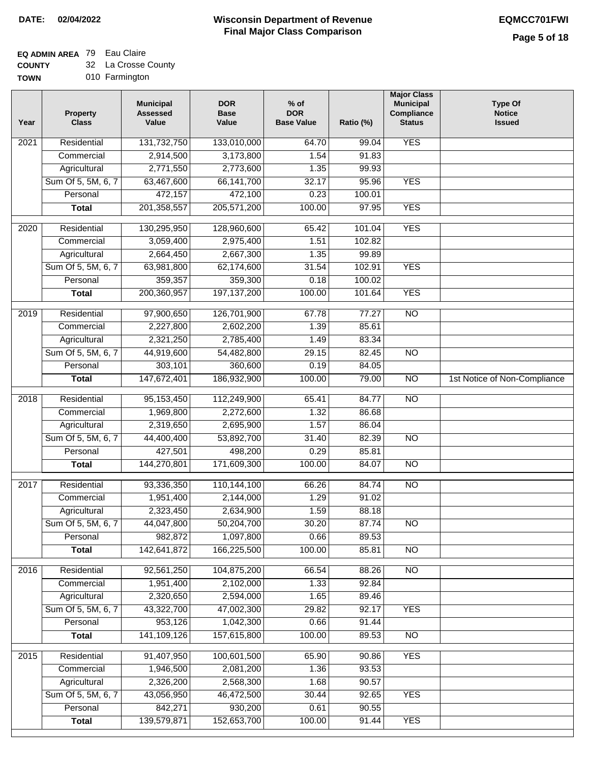## **EQ ADMIN AREA** 79 Eau Claire

**COUNTY TOWN** 32 La Crosse County

010 Farmington

| Year              | <b>Property</b><br><b>Class</b> | <b>Municipal</b><br><b>Assessed</b><br>Value | <b>DOR</b><br><b>Base</b><br>Value | $%$ of<br><b>DOR</b><br><b>Base Value</b> | Ratio (%) | <b>Major Class</b><br><b>Municipal</b><br>Compliance<br><b>Status</b> | <b>Type Of</b><br><b>Notice</b><br><b>Issued</b> |
|-------------------|---------------------------------|----------------------------------------------|------------------------------------|-------------------------------------------|-----------|-----------------------------------------------------------------------|--------------------------------------------------|
| $\overline{202}1$ | Residential                     | 131,732,750                                  | 133,010,000                        | 64.70                                     | 99.04     | <b>YES</b>                                                            |                                                  |
|                   | Commercial                      | 2,914,500                                    | 3,173,800                          | 1.54                                      | 91.83     |                                                                       |                                                  |
|                   | Agricultural                    | 2,771,550                                    | 2,773,600                          | 1.35                                      | 99.93     |                                                                       |                                                  |
|                   | Sum Of 5, 5M, 6, 7              | 63,467,600                                   | 66, 141, 700                       | 32.17                                     | 95.96     | <b>YES</b>                                                            |                                                  |
|                   | Personal                        | 472,157                                      | 472,100                            | 0.23                                      | 100.01    |                                                                       |                                                  |
|                   | <b>Total</b>                    | 201,358,557                                  | 205,571,200                        | 100.00                                    | 97.95     | <b>YES</b>                                                            |                                                  |
| $\overline{2020}$ | Residential                     | 130,295,950                                  | 128,960,600                        | 65.42                                     | 101.04    | <b>YES</b>                                                            |                                                  |
|                   | Commercial                      | 3,059,400                                    | 2,975,400                          | 1.51                                      | 102.82    |                                                                       |                                                  |
|                   | Agricultural                    | 2,664,450                                    | 2,667,300                          | 1.35                                      | 99.89     |                                                                       |                                                  |
|                   | Sum Of 5, 5M, 6, 7              | 63,981,800                                   | 62,174,600                         | 31.54                                     | 102.91    | <b>YES</b>                                                            |                                                  |
|                   | Personal                        | 359,357                                      | 359,300                            | 0.18                                      | 100.02    |                                                                       |                                                  |
|                   | <b>Total</b>                    | 200,360,957                                  | 197, 137, 200                      | 100.00                                    | 101.64    | <b>YES</b>                                                            |                                                  |
| 2019              | Residential                     | 97,900,650                                   | 126,701,900                        | 67.78                                     | 77.27     | $\overline{10}$                                                       |                                                  |
|                   | Commercial                      | 2,227,800                                    | 2,602,200                          | 1.39                                      | 85.61     |                                                                       |                                                  |
|                   | Agricultural                    | 2,321,250                                    | 2,785,400                          | 1.49                                      | 83.34     |                                                                       |                                                  |
|                   | Sum Of 5, 5M, 6, 7              | 44,919,600                                   | 54,482,800                         | 29.15                                     | 82.45     | $\overline{NO}$                                                       |                                                  |
|                   | Personal                        | 303,101                                      | 360,600                            | 0.19                                      | 84.05     |                                                                       |                                                  |
|                   | <b>Total</b>                    | 147,672,401                                  | 186,932,900                        | 100.00                                    | 79.00     | $\overline{NO}$                                                       | 1st Notice of Non-Compliance                     |
| 2018              | Residential                     | 95, 153, 450                                 | 112,249,900                        | 65.41                                     | 84.77     | $\overline{10}$                                                       |                                                  |
|                   | Commercial                      | 1,969,800                                    | 2,272,600                          | 1.32                                      | 86.68     |                                                                       |                                                  |
|                   | Agricultural                    | 2,319,650                                    | 2,695,900                          | 1.57                                      | 86.04     |                                                                       |                                                  |
|                   | Sum Of 5, 5M, 6, 7              | 44,400,400                                   | 53,892,700                         | 31.40                                     | 82.39     | $\overline{10}$                                                       |                                                  |
|                   | Personal                        | 427,501                                      | 498,200                            | 0.29                                      | 85.81     |                                                                       |                                                  |
|                   | <b>Total</b>                    | 144,270,801                                  | 171,609,300                        | 100.00                                    | 84.07     | <b>NO</b>                                                             |                                                  |
| 2017              | Residential                     | 93,336,350                                   | 110,144,100                        | 66.26                                     | 84.74     | <b>NO</b>                                                             |                                                  |
|                   | Commercial                      | 1,951,400                                    | 2,144,000                          | 1.29                                      | 91.02     |                                                                       |                                                  |
|                   | Agricultural                    | 2,323,450                                    | 2,634,900                          | 1.59                                      | 88.18     |                                                                       |                                                  |
|                   | Sum Of 5, 5M, 6, 7              | 44,047,800                                   | 50,204,700                         | 30.20                                     | 87.74     | <b>NO</b>                                                             |                                                  |
|                   | Personal                        | 982,872                                      | 1,097,800                          | 0.66                                      | 89.53     |                                                                       |                                                  |
|                   | <b>Total</b>                    | 142,641,872                                  | 166,225,500                        | 100.00                                    | 85.81     | <b>NO</b>                                                             |                                                  |
| 2016              | Residential                     | 92,561,250                                   | 104,875,200                        | 66.54                                     | 88.26     | $\overline{NO}$                                                       |                                                  |
|                   | Commercial                      | 1,951,400                                    | 2,102,000                          | 1.33                                      | 92.84     |                                                                       |                                                  |
|                   | Agricultural                    | 2,320,650                                    | 2,594,000                          | 1.65                                      | 89.46     |                                                                       |                                                  |
|                   | Sum Of 5, 5M, 6, 7              | 43,322,700                                   | 47,002,300                         | 29.82                                     | 92.17     | <b>YES</b>                                                            |                                                  |
|                   | Personal                        | 953,126                                      | 1,042,300                          | 0.66                                      | 91.44     |                                                                       |                                                  |
|                   | <b>Total</b>                    | 141,109,126                                  | 157,615,800                        | 100.00                                    | 89.53     | $\overline{NO}$                                                       |                                                  |
| 2015              | Residential                     | 91,407,950                                   | 100,601,500                        | 65.90                                     | 90.86     | <b>YES</b>                                                            |                                                  |
|                   | Commercial                      | 1,946,500                                    | 2,081,200                          | 1.36                                      | 93.53     |                                                                       |                                                  |
|                   | Agricultural                    | 2,326,200                                    | 2,568,300                          | 1.68                                      | 90.57     |                                                                       |                                                  |
|                   | Sum Of 5, 5M, 6, 7              | 43,056,950                                   | 46,472,500                         | 30.44                                     | 92.65     | <b>YES</b>                                                            |                                                  |
|                   | Personal                        | 842,271                                      | 930,200                            | 0.61                                      | 90.55     |                                                                       |                                                  |
|                   | <b>Total</b>                    | 139,579,871                                  | 152,653,700                        | 100.00                                    | 91.44     | <b>YES</b>                                                            |                                                  |
|                   |                                 |                                              |                                    |                                           |           |                                                                       |                                                  |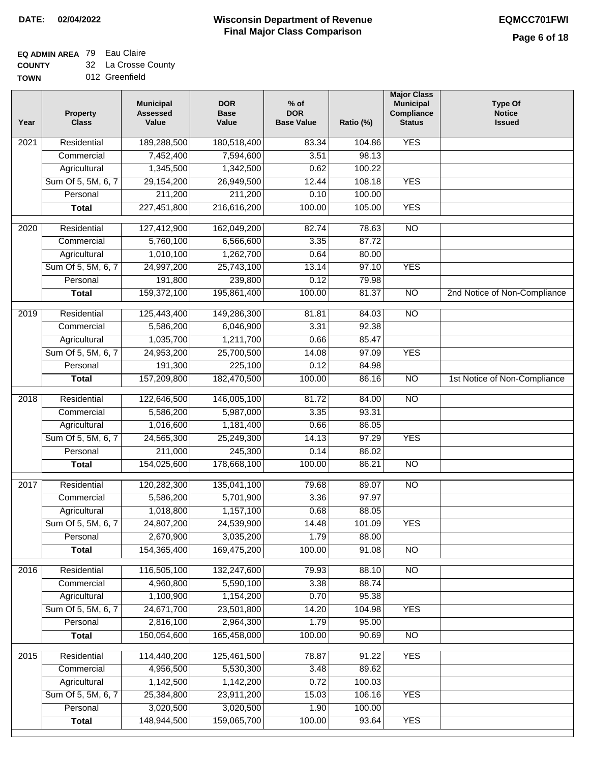### **EQ ADMIN AREA** 79 Eau Claire

**COUNTY** 32 La Crosse County

| Year | <b>Property</b><br><b>Class</b> | <b>Municipal</b><br><b>Assessed</b><br>Value | <b>DOR</b><br><b>Base</b><br>Value | $%$ of<br><b>DOR</b><br><b>Base Value</b> | Ratio (%) | <b>Major Class</b><br><b>Municipal</b><br>Compliance<br><b>Status</b> | <b>Type Of</b><br><b>Notice</b><br><b>Issued</b> |
|------|---------------------------------|----------------------------------------------|------------------------------------|-------------------------------------------|-----------|-----------------------------------------------------------------------|--------------------------------------------------|
| 2021 | Residential                     | 189,288,500                                  | 180,518,400                        | 83.34                                     | 104.86    | <b>YES</b>                                                            |                                                  |
|      | Commercial                      | 7,452,400                                    | 7,594,600                          | 3.51                                      | 98.13     |                                                                       |                                                  |
|      | Agricultural                    | 1,345,500                                    | 1,342,500                          | 0.62                                      | 100.22    |                                                                       |                                                  |
|      | Sum Of 5, 5M, 6, 7              | 29,154,200                                   | 26,949,500                         | 12.44                                     | 108.18    | <b>YES</b>                                                            |                                                  |
|      | Personal                        | 211,200                                      | 211,200                            | 0.10                                      | 100.00    |                                                                       |                                                  |
|      | <b>Total</b>                    | 227,451,800                                  | 216,616,200                        | 100.00                                    | 105.00    | <b>YES</b>                                                            |                                                  |
| 2020 | Residential                     | 127,412,900                                  | 162,049,200                        | 82.74                                     | 78.63     | $\overline{NO}$                                                       |                                                  |
|      | Commercial                      | 5,760,100                                    | 6,566,600                          | 3.35                                      | 87.72     |                                                                       |                                                  |
|      | Agricultural                    | 1,010,100                                    | 1,262,700                          | 0.64                                      | 80.00     |                                                                       |                                                  |
|      | Sum Of 5, 5M, 6, 7              | 24,997,200                                   | 25,743,100                         | 13.14                                     | 97.10     | <b>YES</b>                                                            |                                                  |
|      | Personal                        | 191,800                                      | 239,800                            | 0.12                                      | 79.98     |                                                                       |                                                  |
|      | <b>Total</b>                    | 159,372,100                                  | 195,861,400                        | 100.00                                    | 81.37     | $\overline{NO}$                                                       | 2nd Notice of Non-Compliance                     |
| 2019 | Residential                     | 125,443,400                                  | 149,286,300                        | 81.81                                     | 84.03     | $\overline{NO}$                                                       |                                                  |
|      | Commercial                      | 5,586,200                                    | 6,046,900                          | 3.31                                      | 92.38     |                                                                       |                                                  |
|      | Agricultural                    | 1,035,700                                    | 1,211,700                          | 0.66                                      | 85.47     |                                                                       |                                                  |
|      | Sum Of 5, 5M, 6, 7              | 24,953,200                                   | 25,700,500                         | 14.08                                     | 97.09     | <b>YES</b>                                                            |                                                  |
|      | Personal                        | 191,300                                      | 225,100                            | 0.12                                      | 84.98     |                                                                       |                                                  |
|      | <b>Total</b>                    | 157,209,800                                  | 182,470,500                        | 100.00                                    | 86.16     | $\overline{NO}$                                                       | 1st Notice of Non-Compliance                     |
|      |                                 |                                              |                                    |                                           |           |                                                                       |                                                  |
| 2018 | Residential                     | 122,646,500                                  | 146,005,100                        | 81.72                                     | 84.00     | $\overline{NO}$                                                       |                                                  |
|      | Commercial                      | 5,586,200                                    | 5,987,000                          | 3.35                                      | 93.31     |                                                                       |                                                  |
|      | Agricultural                    | 1,016,600                                    | 1,181,400                          | 0.66                                      | 86.05     |                                                                       |                                                  |
|      | Sum Of 5, 5M, 6, 7              | 24,565,300                                   | 25,249,300                         | 14.13                                     | 97.29     | <b>YES</b>                                                            |                                                  |
|      | Personal                        | 211,000                                      | 245,300                            | 0.14                                      | 86.02     |                                                                       |                                                  |
|      | <b>Total</b>                    | 154,025,600                                  | 178,668,100                        | 100.00                                    | 86.21     | $\overline{NO}$                                                       |                                                  |
| 2017 | Residential                     | 120,282,300                                  | 135,041,100                        | 79.68                                     | 89.07     | $\overline{NO}$                                                       |                                                  |
|      | Commercial                      | 5,586,200                                    | 5,701,900                          | 3.36                                      | 97.97     |                                                                       |                                                  |
|      | Agricultural                    | 1,018,800                                    | 1,157,100                          | 0.68                                      | 88.05     |                                                                       |                                                  |
|      | Sum Of 5, 5M, 6, 7              | 24,807,200                                   | 24,539,900                         | 14.48                                     | 101.09    | <b>YES</b>                                                            |                                                  |
|      | Personal                        | 2,670,900                                    | 3,035,200                          | 1.79                                      | 88.00     |                                                                       |                                                  |
|      | <b>Total</b>                    | 154,365,400                                  | 169,475,200                        | 100.00                                    | 91.08     | <b>NO</b>                                                             |                                                  |
| 2016 | Residential                     | 116,505,100                                  | 132,247,600                        | 79.93                                     | 88.10     | $\overline{NO}$                                                       |                                                  |
|      | Commercial                      | 4,960,800                                    | 5,590,100                          | 3.38                                      | 88.74     |                                                                       |                                                  |
|      | Agricultural                    | 1,100,900                                    | 1,154,200                          | 0.70                                      | 95.38     |                                                                       |                                                  |
|      | Sum Of 5, 5M, 6, 7              | 24,671,700                                   | 23,501,800                         | 14.20                                     | 104.98    | <b>YES</b>                                                            |                                                  |
|      | Personal                        | 2,816,100                                    | 2,964,300                          | 1.79                                      | 95.00     |                                                                       |                                                  |
|      | <b>Total</b>                    | 150,054,600                                  | 165,458,000                        | 100.00                                    | 90.69     | N <sub>O</sub>                                                        |                                                  |
| 2015 | Residential                     | 114,440,200                                  | 125,461,500                        | 78.87                                     | 91.22     | <b>YES</b>                                                            |                                                  |
|      | Commercial                      | 4,956,500                                    | 5,530,300                          | 3.48                                      | 89.62     |                                                                       |                                                  |
|      | Agricultural                    | 1,142,500                                    | 1,142,200                          | 0.72                                      | 100.03    |                                                                       |                                                  |
|      | Sum Of 5, 5M, 6, 7              | 25,384,800                                   | 23,911,200                         | 15.03                                     | 106.16    | <b>YES</b>                                                            |                                                  |
|      | Personal                        | 3,020,500                                    | 3,020,500                          | 1.90                                      | 100.00    |                                                                       |                                                  |
|      | <b>Total</b>                    | 148,944,500                                  | 159,065,700                        | 100.00                                    | 93.64     | <b>YES</b>                                                            |                                                  |
|      |                                 |                                              |                                    |                                           |           |                                                                       |                                                  |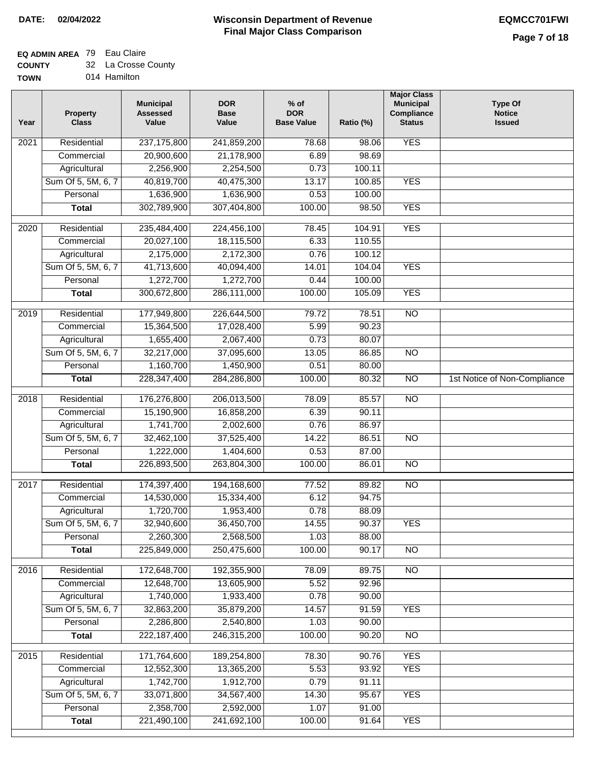### **EQ ADMIN AREA** 79 Eau Claire

| <b>COUNTY</b> | 32 La Crosse County |
|---------------|---------------------|
|---------------|---------------------|

**TOWN** 014 Hamilton

| Year              | <b>Property</b><br><b>Class</b> | <b>Municipal</b><br><b>Assessed</b><br>Value | <b>DOR</b><br><b>Base</b><br>Value | $%$ of<br><b>DOR</b><br><b>Base Value</b> | Ratio (%) | <b>Major Class</b><br><b>Municipal</b><br>Compliance<br><b>Status</b> | <b>Type Of</b><br><b>Notice</b><br><b>Issued</b> |
|-------------------|---------------------------------|----------------------------------------------|------------------------------------|-------------------------------------------|-----------|-----------------------------------------------------------------------|--------------------------------------------------|
| $\overline{202}1$ | Residential                     | 237, 175, 800                                | 241,859,200                        | 78.68                                     | 98.06     | <b>YES</b>                                                            |                                                  |
|                   | Commercial                      | 20,900,600                                   | 21,178,900                         | 6.89                                      | 98.69     |                                                                       |                                                  |
|                   | Agricultural                    | 2,256,900                                    | 2,254,500                          | 0.73                                      | 100.11    |                                                                       |                                                  |
|                   | Sum Of 5, 5M, 6, 7              | 40,819,700                                   | 40,475,300                         | 13.17                                     | 100.85    | <b>YES</b>                                                            |                                                  |
|                   | Personal                        | 1,636,900                                    | 1,636,900                          | 0.53                                      | 100.00    |                                                                       |                                                  |
|                   | <b>Total</b>                    | 302,789,900                                  | 307,404,800                        | 100.00                                    | 98.50     | <b>YES</b>                                                            |                                                  |
| $\overline{2020}$ | Residential                     | 235,484,400                                  | 224,456,100                        | 78.45                                     | 104.91    | <b>YES</b>                                                            |                                                  |
|                   | Commercial                      | 20,027,100                                   | 18,115,500                         | 6.33                                      | 110.55    |                                                                       |                                                  |
|                   | Agricultural                    | 2,175,000                                    | 2,172,300                          | 0.76                                      | 100.12    |                                                                       |                                                  |
|                   | Sum Of 5, 5M, 6, 7              | 41,713,600                                   | 40,094,400                         | 14.01                                     | 104.04    | <b>YES</b>                                                            |                                                  |
|                   | Personal                        | 1,272,700                                    | 1,272,700                          | 0.44                                      | 100.00    |                                                                       |                                                  |
|                   | <b>Total</b>                    | 300,672,800                                  | 286,111,000                        | 100.00                                    | 105.09    | <b>YES</b>                                                            |                                                  |
| 2019              | Residential                     | 177,949,800                                  | 226,644,500                        | 79.72                                     | 78.51     | $\overline{10}$                                                       |                                                  |
|                   | Commercial                      | 15,364,500                                   | 17,028,400                         | 5.99                                      | 90.23     |                                                                       |                                                  |
|                   | Agricultural                    | 1,655,400                                    | 2,067,400                          | 0.73                                      | 80.07     |                                                                       |                                                  |
|                   | Sum Of 5, 5M, 6, 7              | 32,217,000                                   | 37,095,600                         | 13.05                                     | 86.85     | $\overline{NO}$                                                       |                                                  |
|                   | Personal                        | 1,160,700                                    | 1,450,900                          | 0.51                                      | 80.00     |                                                                       |                                                  |
|                   | <b>Total</b>                    | 228, 347, 400                                | 284,286,800                        | 100.00                                    | 80.32     | $\overline{NO}$                                                       | 1st Notice of Non-Compliance                     |
| 2018              | Residential                     | 176,276,800                                  | 206,013,500                        | 78.09                                     | 85.57     | $\overline{10}$                                                       |                                                  |
|                   | Commercial                      | 15,190,900                                   | 16,858,200                         | 6.39                                      | 90.11     |                                                                       |                                                  |
|                   | Agricultural                    | 1,741,700                                    | 2,002,600                          | 0.76                                      | 86.97     |                                                                       |                                                  |
|                   | Sum Of 5, 5M, 6, 7              | 32,462,100                                   | 37,525,400                         | 14.22                                     | 86.51     | $\overline{10}$                                                       |                                                  |
|                   | Personal                        | 1,222,000                                    | 1,404,600                          | 0.53                                      | 87.00     |                                                                       |                                                  |
|                   | <b>Total</b>                    | 226,893,500                                  | 263,804,300                        | 100.00                                    | 86.01     | <b>NO</b>                                                             |                                                  |
| 2017              | Residential                     | 174,397,400                                  | 194,168,600                        | 77.52                                     | 89.82     | <b>NO</b>                                                             |                                                  |
|                   | Commercial                      | 14,530,000                                   | 15,334,400                         | 6.12                                      | 94.75     |                                                                       |                                                  |
|                   | Agricultural                    | 1,720,700                                    | 1,953,400                          | 0.78                                      | 88.09     |                                                                       |                                                  |
|                   | Sum Of 5, 5M, 6, 7              | 32,940,600                                   | 36,450,700                         | 14.55                                     | 90.37     | <b>YES</b>                                                            |                                                  |
|                   | Personal                        | 2,260,300                                    | 2,568,500                          | 1.03                                      | 88.00     |                                                                       |                                                  |
|                   | <b>Total</b>                    | 225,849,000                                  | 250,475,600                        | 100.00                                    | 90.17     | <b>NO</b>                                                             |                                                  |
| 2016              | Residential                     | 172,648,700                                  | 192,355,900                        | 78.09                                     | 89.75     | $\overline{NO}$                                                       |                                                  |
|                   | Commercial                      | 12,648,700                                   | 13,605,900                         | 5.52                                      | 92.96     |                                                                       |                                                  |
|                   | Agricultural                    | 1,740,000                                    | 1,933,400                          | 0.78                                      | 90.00     |                                                                       |                                                  |
|                   | Sum Of 5, 5M, 6, 7              | 32,863,200                                   | 35,879,200                         | 14.57                                     | 91.59     | <b>YES</b>                                                            |                                                  |
|                   | Personal                        | 2,286,800                                    | 2,540,800                          | 1.03                                      | 90.00     |                                                                       |                                                  |
|                   | <b>Total</b>                    | 222,187,400                                  | 246,315,200                        | 100.00                                    | 90.20     | $\overline{NO}$                                                       |                                                  |
| 2015              | Residential                     | 171,764,600                                  | 189,254,800                        | 78.30                                     | 90.76     | <b>YES</b>                                                            |                                                  |
|                   | Commercial                      | 12,552,300                                   | 13,365,200                         | 5.53                                      | 93.92     | <b>YES</b>                                                            |                                                  |
|                   | Agricultural                    | 1,742,700                                    | 1,912,700                          | 0.79                                      | 91.11     |                                                                       |                                                  |
|                   | Sum Of 5, 5M, 6, 7              | 33,071,800                                   | 34,567,400                         | 14.30                                     | 95.67     | <b>YES</b>                                                            |                                                  |
|                   | Personal                        | 2,358,700                                    | 2,592,000                          | 1.07                                      | 91.00     |                                                                       |                                                  |
|                   | <b>Total</b>                    | 221,490,100                                  | 241,692,100                        | 100.00                                    | 91.64     | <b>YES</b>                                                            |                                                  |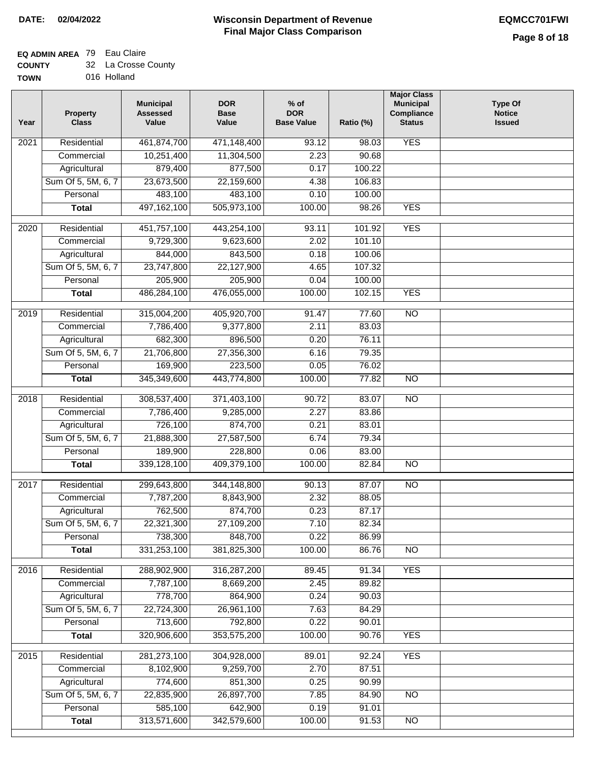# **EQ ADMIN AREA** 79 Eau Claire

| <b>COUNTY</b> | 32 La Crosse County |
|---------------|---------------------|
| TOWN          | 016 Holland         |

016 Holland

| Year | <b>Property</b><br><b>Class</b> | <b>Municipal</b><br><b>Assessed</b><br>Value | <b>DOR</b><br><b>Base</b><br>Value | $%$ of<br><b>DOR</b><br><b>Base Value</b> | Ratio (%)      | <b>Major Class</b><br><b>Municipal</b><br>Compliance<br><b>Status</b> | <b>Type Of</b><br><b>Notice</b><br><b>Issued</b> |
|------|---------------------------------|----------------------------------------------|------------------------------------|-------------------------------------------|----------------|-----------------------------------------------------------------------|--------------------------------------------------|
| 2021 | Residential                     | 461,874,700                                  | 471,148,400                        | 93.12                                     | 98.03          | <b>YES</b>                                                            |                                                  |
|      | Commercial                      | 10,251,400                                   | 11,304,500                         | 2.23                                      | 90.68          |                                                                       |                                                  |
|      | Agricultural                    | 879,400                                      | 877,500                            | 0.17                                      | 100.22         |                                                                       |                                                  |
|      | Sum Of 5, 5M, 6, 7              | 23,673,500                                   | 22,159,600                         | 4.38                                      | 106.83         |                                                                       |                                                  |
|      | Personal                        | 483,100                                      | 483,100                            | 0.10                                      | 100.00         |                                                                       |                                                  |
|      | <b>Total</b>                    | 497, 162, 100                                | 505,973,100                        | 100.00                                    | 98.26          | <b>YES</b>                                                            |                                                  |
| 2020 | Residential                     | 451,757,100                                  | 443,254,100                        | 93.11                                     | 101.92         | <b>YES</b>                                                            |                                                  |
|      | Commercial                      | 9,729,300                                    | 9,623,600                          | 2.02                                      | 101.10         |                                                                       |                                                  |
|      | Agricultural                    | 844,000                                      | 843,500                            | 0.18                                      | 100.06         |                                                                       |                                                  |
|      | Sum Of 5, 5M, 6, 7              | 23,747,800                                   | 22,127,900                         | 4.65                                      | 107.32         |                                                                       |                                                  |
|      | Personal                        | 205,900                                      | 205,900                            | 0.04                                      | 100.00         |                                                                       |                                                  |
|      | <b>Total</b>                    | 486,284,100                                  | 476,055,000                        | 100.00                                    | 102.15         | <b>YES</b>                                                            |                                                  |
| 2019 | Residential                     | 315,004,200                                  | 405,920,700                        | 91.47                                     | 77.60          | <b>NO</b>                                                             |                                                  |
|      | Commercial                      | 7,786,400                                    | 9,377,800                          | 2.11                                      | 83.03          |                                                                       |                                                  |
|      | Agricultural                    | 682,300                                      | 896,500                            | 0.20                                      | 76.11          |                                                                       |                                                  |
|      | Sum Of 5, 5M, 6, 7              | 21,706,800                                   | 27,356,300                         | 6.16                                      | 79.35          |                                                                       |                                                  |
|      | Personal                        | 169,900                                      | 223,500                            | 0.05                                      | 76.02          |                                                                       |                                                  |
|      | <b>Total</b>                    | 345,349,600                                  | 443,774,800                        | 100.00                                    | 77.82          | <b>NO</b>                                                             |                                                  |
| 2018 | Residential                     | 308,537,400                                  | 371,403,100                        | 90.72                                     | 83.07          | $\overline{10}$                                                       |                                                  |
|      | Commercial                      | 7,786,400                                    | 9,285,000                          | 2.27                                      | 83.86          |                                                                       |                                                  |
|      | Agricultural                    | 726,100                                      | 874,700                            | 0.21                                      | 83.01          |                                                                       |                                                  |
|      | Sum Of 5, 5M, 6, 7              | 21,888,300                                   | 27,587,500                         | 6.74                                      | 79.34          |                                                                       |                                                  |
|      | Personal                        | 189,900                                      | 228,800                            | 0.06                                      | 83.00          |                                                                       |                                                  |
|      | <b>Total</b>                    | 339,128,100                                  | 409,379,100                        | 100.00                                    | 82.84          | <b>NO</b>                                                             |                                                  |
| 2017 | Residential                     | 299,643,800                                  | 344,148,800                        | 90.13                                     | 87.07          | $\overline{NO}$                                                       |                                                  |
|      | Commercial                      | 7,787,200                                    | 8,843,900                          | 2.32                                      | 88.05          |                                                                       |                                                  |
|      | Agricultural                    | 762,500                                      | 874,700                            | 0.23                                      | 87.17          |                                                                       |                                                  |
|      | Sum Of 5, 5M, 6, 7              | 22,321,300                                   | 27,109,200                         | 7.10                                      | 82.34          |                                                                       |                                                  |
|      | Personal                        | 738,300                                      | 848,700                            | 0.22                                      | 86.99          |                                                                       |                                                  |
|      | <b>Total</b>                    | 331,253,100                                  | 381,825,300                        | 100.00                                    | 86.76          | <b>NO</b>                                                             |                                                  |
| 2016 | Residential                     | 288,902,900                                  | 316,287,200                        | 89.45                                     | 91.34          | <b>YES</b>                                                            |                                                  |
|      | Commercial                      | 7,787,100                                    | 8,669,200                          | 2.45                                      | 89.82          |                                                                       |                                                  |
|      | Agricultural                    | 778,700                                      | 864,900                            | 0.24                                      | 90.03          |                                                                       |                                                  |
|      | Sum Of 5, 5M, 6, 7              | 22,724,300                                   | 26,961,100                         | 7.63                                      | 84.29          |                                                                       |                                                  |
|      | Personal                        | 713,600                                      | 792,800                            | 0.22                                      | 90.01          |                                                                       |                                                  |
|      | <b>Total</b>                    | 320,906,600                                  | 353,575,200                        | 100.00                                    | 90.76          | <b>YES</b>                                                            |                                                  |
|      |                                 |                                              |                                    |                                           |                |                                                                       |                                                  |
| 2015 | Residential                     | 281,273,100                                  | 304,928,000                        | 89.01                                     | 92.24          | <b>YES</b>                                                            |                                                  |
|      | Commercial                      | 8,102,900                                    | 9,259,700                          | 2.70                                      | 87.51          |                                                                       |                                                  |
|      | Agricultural                    | 774,600                                      | 851,300                            | 0.25                                      | 90.99          |                                                                       |                                                  |
|      | Sum Of 5, 5M, 6, 7              | 22,835,900                                   | 26,897,700                         | 7.85                                      | 84.90          | <b>NO</b>                                                             |                                                  |
|      | Personal<br><b>Total</b>        | 585,100<br>313,571,600                       | 642,900<br>342,579,600             | 0.19<br>100.00                            | 91.01<br>91.53 | NO                                                                    |                                                  |
|      |                                 |                                              |                                    |                                           |                |                                                                       |                                                  |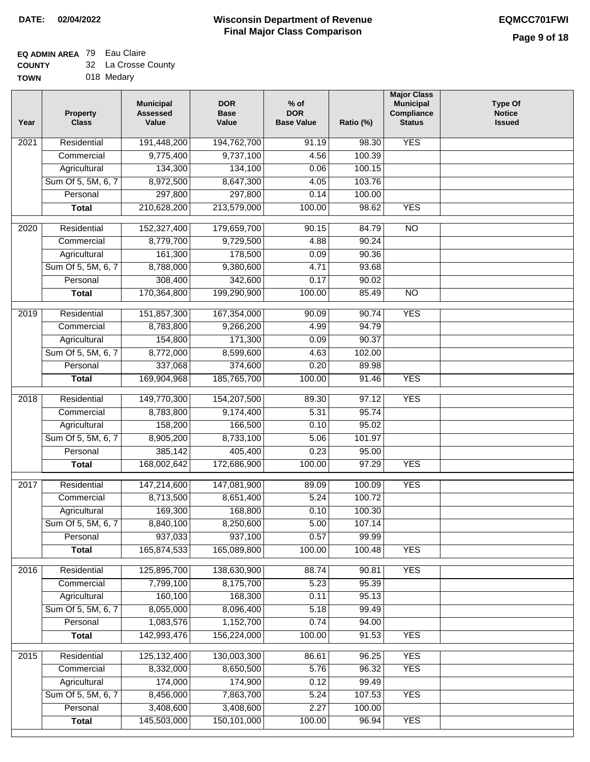### **EQ ADMIN AREA** 79 Eau Claire  $\sim$

| <b>COUNTY</b> | 32 La Crosse County |
|---------------|---------------------|
| <b>TOWN</b>   | 018 Medary          |

| N | 018 Medary |  |
|---|------------|--|
|   |            |  |

| Year             | <b>Property</b><br><b>Class</b> | <b>Municipal</b><br><b>Assessed</b><br>Value | <b>DOR</b><br><b>Base</b><br>Value | $%$ of<br><b>DOR</b><br><b>Base Value</b> | Ratio (%) | <b>Major Class</b><br><b>Municipal</b><br>Compliance<br><b>Status</b> | <b>Type Of</b><br><b>Notice</b><br><b>Issued</b> |
|------------------|---------------------------------|----------------------------------------------|------------------------------------|-------------------------------------------|-----------|-----------------------------------------------------------------------|--------------------------------------------------|
| 2021             | Residential                     | 191,448,200                                  | 194,762,700                        | 91.19                                     | 98.30     | <b>YES</b>                                                            |                                                  |
|                  | Commercial                      | 9,775,400                                    | 9,737,100                          | 4.56                                      | 100.39    |                                                                       |                                                  |
|                  | Agricultural                    | 134,300                                      | 134,100                            | 0.06                                      | 100.15    |                                                                       |                                                  |
|                  | Sum Of 5, 5M, 6, 7              | 8,972,500                                    | 8,647,300                          | 4.05                                      | 103.76    |                                                                       |                                                  |
|                  | Personal                        | 297,800                                      | 297,800                            | 0.14                                      | 100.00    |                                                                       |                                                  |
|                  | <b>Total</b>                    | 210,628,200                                  | 213,579,000                        | 100.00                                    | 98.62     | <b>YES</b>                                                            |                                                  |
| 2020             | Residential                     | 152,327,400                                  | 179,659,700                        | 90.15                                     | 84.79     | $\overline{NO}$                                                       |                                                  |
|                  | Commercial                      | 8,779,700                                    | 9,729,500                          | 4.88                                      | 90.24     |                                                                       |                                                  |
|                  | Agricultural                    | 161,300                                      | 178,500                            | 0.09                                      | 90.36     |                                                                       |                                                  |
|                  | Sum Of 5, 5M, 6, 7              | 8,788,000                                    | 9,380,600                          | 4.71                                      | 93.68     |                                                                       |                                                  |
|                  | Personal                        | 308,400                                      | 342,600                            | 0.17                                      | 90.02     |                                                                       |                                                  |
|                  | <b>Total</b>                    | 170,364,800                                  | 199,290,900                        | 100.00                                    | 85.49     | $\overline{NO}$                                                       |                                                  |
|                  |                                 |                                              |                                    |                                           |           |                                                                       |                                                  |
| $\frac{1}{2019}$ | Residential                     | 151,857,300                                  | 167,354,000                        | 90.09                                     | 90.74     | <b>YES</b>                                                            |                                                  |
|                  | Commercial                      | 8,783,800                                    | 9,266,200                          | 4.99                                      | 94.79     |                                                                       |                                                  |
|                  | Agricultural                    | 154,800                                      | 171,300                            | 0.09                                      | 90.37     |                                                                       |                                                  |
|                  | Sum Of 5, 5M, 6, 7              | 8,772,000                                    | 8,599,600                          | 4.63                                      | 102.00    |                                                                       |                                                  |
|                  | Personal                        | 337,068                                      | 374,600                            | 0.20                                      | 89.98     |                                                                       |                                                  |
|                  | <b>Total</b>                    | 169,904,968                                  | 185,765,700                        | 100.00                                    | 91.46     | <b>YES</b>                                                            |                                                  |
| 2018             | Residential                     | 149,770,300                                  | 154,207,500                        | 89.30                                     | 97.12     | <b>YES</b>                                                            |                                                  |
|                  | Commercial                      | 8,783,800                                    | 9,174,400                          | 5.31                                      | 95.74     |                                                                       |                                                  |
|                  | Agricultural                    | 158,200                                      | 166,500                            | 0.10                                      | 95.02     |                                                                       |                                                  |
|                  | Sum Of 5, 5M, 6, 7              | 8,905,200                                    | 8,733,100                          | 5.06                                      | 101.97    |                                                                       |                                                  |
|                  | Personal                        | 385,142                                      | 405,400                            | 0.23                                      | 95.00     |                                                                       |                                                  |
|                  | <b>Total</b>                    | 168,002,642                                  | 172,686,900                        | 100.00                                    | 97.29     | <b>YES</b>                                                            |                                                  |
| 2017             | Residential                     | 147,214,600                                  | 147,081,900                        | 89.09                                     | 100.09    | <b>YES</b>                                                            |                                                  |
|                  | Commercial                      | 8,713,500                                    | 8,651,400                          | 5.24                                      | 100.72    |                                                                       |                                                  |
|                  | Agricultural                    | 169,300                                      | 168,800                            | 0.10                                      | 100.30    |                                                                       |                                                  |
|                  | Sum Of 5, 5M, 6, 7              | 8,840,100                                    | 8,250,600                          | 5.00                                      | 107.14    |                                                                       |                                                  |
|                  | Personal                        | 937,033                                      | 937,100                            | 0.57                                      | 99.99     |                                                                       |                                                  |
|                  | <b>Total</b>                    | 165,874,533                                  | 165,089,800                        | 100.00                                    | 100.48    | <b>YES</b>                                                            |                                                  |
|                  |                                 |                                              |                                    |                                           |           |                                                                       |                                                  |
| 2016             | Residential                     | 125,895,700                                  | 138,630,900                        | 88.74                                     | 90.81     | <b>YES</b>                                                            |                                                  |
|                  | Commercial                      | 7,799,100                                    | 8,175,700                          | 5.23                                      | 95.39     |                                                                       |                                                  |
|                  | Agricultural                    | 160,100                                      | 168,300                            | 0.11                                      | 95.13     |                                                                       |                                                  |
|                  | Sum Of 5, 5M, 6, 7              | 8,055,000                                    | 8,096,400                          | 5.18                                      | 99.49     |                                                                       |                                                  |
|                  | Personal                        | 1,083,576                                    | 1,152,700                          | 0.74                                      | 94.00     |                                                                       |                                                  |
|                  | <b>Total</b>                    | 142,993,476                                  | 156,224,000                        | 100.00                                    | 91.53     | <b>YES</b>                                                            |                                                  |
| 2015             | Residential                     | 125, 132, 400                                | 130,003,300                        | 86.61                                     | 96.25     | <b>YES</b>                                                            |                                                  |
|                  | Commercial                      | 8,332,000                                    | 8,650,500                          | 5.76                                      | 96.32     | <b>YES</b>                                                            |                                                  |
|                  | Agricultural                    | 174,000                                      | 174,900                            | 0.12                                      | 99.49     |                                                                       |                                                  |
|                  | Sum Of 5, 5M, 6, 7              | 8,456,000                                    | 7,863,700                          | 5.24                                      | 107.53    | <b>YES</b>                                                            |                                                  |
|                  | Personal                        | 3,408,600                                    | 3,408,600                          | 2.27                                      | 100.00    |                                                                       |                                                  |
|                  | <b>Total</b>                    | 145,503,000                                  | 150,101,000                        | 100.00                                    | 96.94     | <b>YES</b>                                                            |                                                  |
|                  |                                 |                                              |                                    |                                           |           |                                                                       |                                                  |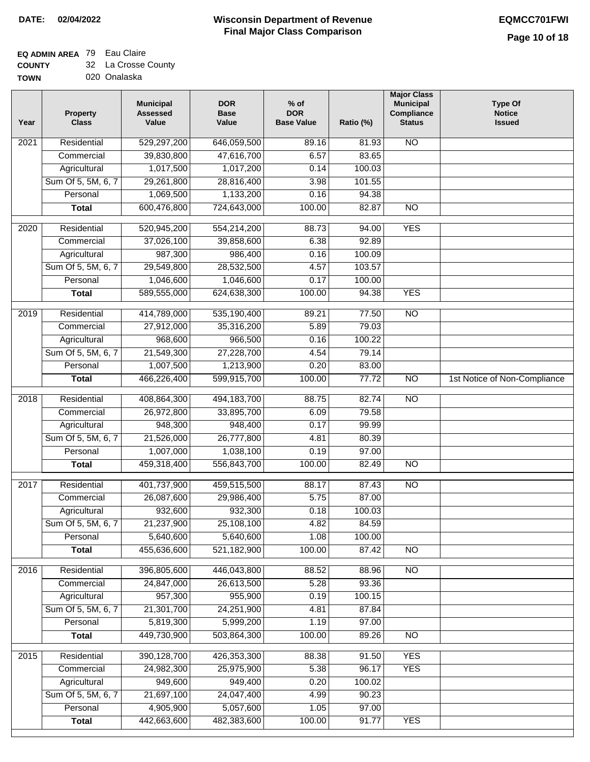## **EQ ADMIN AREA** 79 Eau Claire

| <b>COUNTY</b> | 32 La Crosse County |
|---------------|---------------------|
| <b>TOWN</b>   | 020 Onalaska        |

| Year             | <b>Property</b><br><b>Class</b> | <b>Municipal</b><br><b>Assessed</b><br>Value | <b>DOR</b><br><b>Base</b><br>Value | $%$ of<br><b>DOR</b><br><b>Base Value</b> | Ratio (%)      | <b>Major Class</b><br><b>Municipal</b><br>Compliance<br><b>Status</b> | <b>Type Of</b><br><b>Notice</b><br><b>Issued</b> |
|------------------|---------------------------------|----------------------------------------------|------------------------------------|-------------------------------------------|----------------|-----------------------------------------------------------------------|--------------------------------------------------|
| 2021             | Residential                     | 529,297,200                                  | 646,059,500                        | 89.16                                     | 81.93          | <b>NO</b>                                                             |                                                  |
|                  | Commercial                      | 39,830,800                                   | 47,616,700                         | 6.57                                      | 83.65          |                                                                       |                                                  |
|                  | Agricultural                    | 1,017,500                                    | 1,017,200                          | 0.14                                      | 100.03         |                                                                       |                                                  |
|                  | Sum Of 5, 5M, 6, 7              | 29,261,800                                   | 28,816,400                         | 3.98                                      | 101.55         |                                                                       |                                                  |
|                  | Personal                        | 1,069,500                                    | 1,133,200                          | 0.16                                      | 94.38          |                                                                       |                                                  |
|                  | <b>Total</b>                    | 600,476,800                                  | 724,643,000                        | 100.00                                    | 82.87          | $\overline{NO}$                                                       |                                                  |
| 2020             | Residential                     | 520,945,200                                  | 554,214,200                        | 88.73                                     | 94.00          | <b>YES</b>                                                            |                                                  |
|                  | Commercial                      | 37,026,100                                   | 39,858,600                         | 6.38                                      | 92.89          |                                                                       |                                                  |
|                  | Agricultural                    | 987,300                                      | 986,400                            | 0.16                                      | 100.09         |                                                                       |                                                  |
|                  | Sum Of 5, 5M, 6, 7              | 29,549,800                                   | 28,532,500                         | 4.57                                      | 103.57         |                                                                       |                                                  |
|                  | Personal                        | 1,046,600                                    | 1,046,600                          | 0.17                                      | 100.00         |                                                                       |                                                  |
|                  | <b>Total</b>                    | 589,555,000                                  | 624,638,300                        | 100.00                                    | 94.38          | <b>YES</b>                                                            |                                                  |
| $\frac{1}{2019}$ | Residential                     | 414,789,000                                  | 535,190,400                        | 89.21                                     | 77.50          | $\overline{NO}$                                                       |                                                  |
|                  | Commercial                      | 27,912,000                                   | 35,316,200                         | 5.89                                      | 79.03          |                                                                       |                                                  |
|                  | Agricultural                    | 968,600                                      | 966,500                            | 0.16                                      | 100.22         |                                                                       |                                                  |
|                  | Sum Of 5, 5M, 6, 7              | 21,549,300                                   | 27,228,700                         | 4.54                                      | 79.14          |                                                                       |                                                  |
|                  | Personal                        | 1,007,500                                    | 1,213,900                          | 0.20                                      | 83.00          |                                                                       |                                                  |
|                  | <b>Total</b>                    | 466,226,400                                  | 599,915,700                        | 100.00                                    | 77.72          | $\overline{NO}$                                                       | 1st Notice of Non-Compliance                     |
| 2018             | Residential                     | 408,864,300                                  | 494,183,700                        | 88.75                                     | 82.74          | $\overline{10}$                                                       |                                                  |
|                  | Commercial                      | 26,972,800                                   | 33,895,700                         | 6.09                                      | 79.58          |                                                                       |                                                  |
|                  | Agricultural                    | 948,300                                      | 948,400                            | 0.17                                      | 99.99          |                                                                       |                                                  |
|                  | Sum Of 5, 5M, 6, 7              | 21,526,000                                   | 26,777,800                         | 4.81                                      | 80.39          |                                                                       |                                                  |
|                  | Personal                        | 1,007,000                                    | 1,038,100                          | 0.19                                      | 97.00          |                                                                       |                                                  |
|                  | <b>Total</b>                    | 459,318,400                                  | 556,843,700                        | 100.00                                    | 82.49          | $\overline{NO}$                                                       |                                                  |
| 2017             | Residential                     | 401,737,900                                  | 459,515,500                        | 88.17                                     | 87.43          | <b>NO</b>                                                             |                                                  |
|                  | Commercial                      | 26,087,600                                   | 29,986,400                         | 5.75                                      | 87.00          |                                                                       |                                                  |
|                  | Agricultural                    | 932,600                                      | 932,300                            | 0.18                                      | 100.03         |                                                                       |                                                  |
|                  | Sum Of 5, 5M, 6, 7              | 21,237,900                                   | 25,108,100                         | 4.82                                      | 84.59          |                                                                       |                                                  |
|                  | Personal                        | 5,640,600                                    | 5,640,600                          | 1.08                                      | 100.00         |                                                                       |                                                  |
|                  | <b>Total</b>                    | 455,636,600                                  | 521,182,900                        | 100.00                                    | 87.42          | $\overline{NO}$                                                       |                                                  |
| 2016             | Residential                     | 396,805,600                                  | 446,043,800                        | 88.52                                     | 88.96          | N <sub>O</sub>                                                        |                                                  |
|                  | Commercial                      | 24,847,000                                   | 26,613,500                         | 5.28                                      | 93.36          |                                                                       |                                                  |
|                  | Agricultural                    | 957,300                                      | 955,900                            | 0.19                                      | 100.15         |                                                                       |                                                  |
|                  | Sum Of 5, 5M, 6, 7              | 21,301,700                                   | 24,251,900                         | 4.81                                      | 87.84          |                                                                       |                                                  |
|                  | Personal                        | 5,819,300                                    | 5,999,200                          | 1.19                                      | 97.00          |                                                                       |                                                  |
|                  | <b>Total</b>                    | 449,730,900                                  | 503,864,300                        | 100.00                                    | 89.26          | N <sub>O</sub>                                                        |                                                  |
|                  |                                 |                                              |                                    |                                           |                |                                                                       |                                                  |
| 2015             | Residential<br>Commercial       | 390,128,700<br>24,982,300                    | 426,353,300<br>25,975,900          | 88.38<br>5.38                             | 91.50<br>96.17 | <b>YES</b><br><b>YES</b>                                              |                                                  |
|                  | Agricultural                    | 949,600                                      | 949,400                            | 0.20                                      | 100.02         |                                                                       |                                                  |
|                  | Sum Of 5, 5M, 6, 7              | 21,697,100                                   | 24,047,400                         | 4.99                                      | 90.23          |                                                                       |                                                  |
|                  | Personal                        | 4,905,900                                    | 5,057,600                          | 1.05                                      | 97.00          |                                                                       |                                                  |
|                  | <b>Total</b>                    | 442,663,600                                  | 482,383,600                        | 100.00                                    | 91.77          | <b>YES</b>                                                            |                                                  |
|                  |                                 |                                              |                                    |                                           |                |                                                                       |                                                  |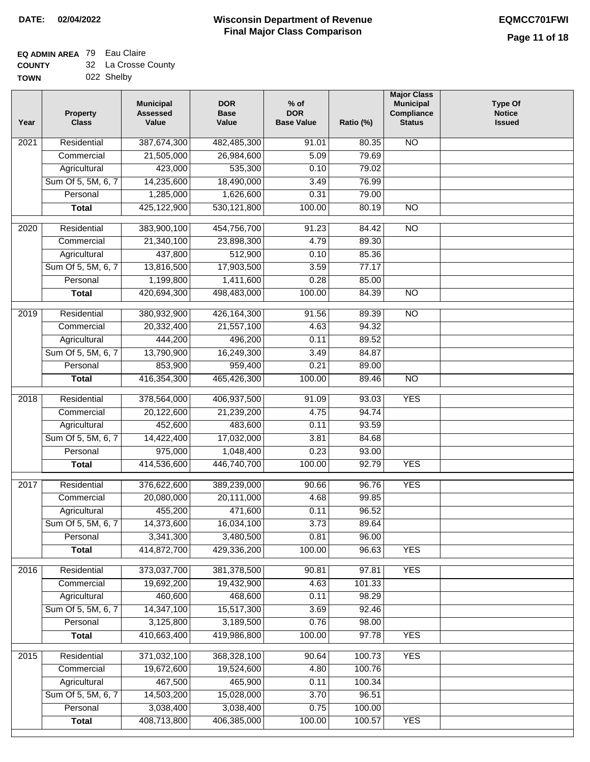### **EQ ADMIN AREA** 79 Eau Claire  $\sim$

| <b>COUNTY</b> | 32 La Crosse County |
|---------------|---------------------|
| <b>TOWN</b>   | 022 Shelby          |

| Year | <b>Property</b><br><b>Class</b> | <b>Municipal</b><br><b>Assessed</b><br>Value | <b>DOR</b><br><b>Base</b><br>Value | $%$ of<br><b>DOR</b><br><b>Base Value</b> | Ratio (%) | <b>Major Class</b><br><b>Municipal</b><br>Compliance<br><b>Status</b> | <b>Type Of</b><br><b>Notice</b><br><b>Issued</b> |
|------|---------------------------------|----------------------------------------------|------------------------------------|-------------------------------------------|-----------|-----------------------------------------------------------------------|--------------------------------------------------|
| 2021 | Residential                     | 387,674,300                                  | 482,485,300                        | 91.01                                     | 80.35     | N <sub>O</sub>                                                        |                                                  |
|      | Commercial                      | 21,505,000                                   | 26,984,600                         | 5.09                                      | 79.69     |                                                                       |                                                  |
|      | Agricultural                    | 423,000                                      | 535,300                            | 0.10                                      | 79.02     |                                                                       |                                                  |
|      | Sum Of 5, 5M, 6, 7              | 14,235,600                                   | 18,490,000                         | 3.49                                      | 76.99     |                                                                       |                                                  |
|      | Personal                        | 1,285,000                                    | 1,626,600                          | 0.31                                      | 79.00     |                                                                       |                                                  |
|      | <b>Total</b>                    | 425,122,900                                  | 530,121,800                        | 100.00                                    | 80.19     | $\overline{NO}$                                                       |                                                  |
|      |                                 |                                              |                                    |                                           |           |                                                                       |                                                  |
| 2020 | Residential                     | 383,900,100                                  | 454,756,700                        | 91.23                                     | 84.42     | $\overline{NO}$                                                       |                                                  |
|      | Commercial                      | 21,340,100                                   | 23,898,300                         | 4.79                                      | 89.30     |                                                                       |                                                  |
|      | Agricultural                    | 437,800                                      | 512,900                            | 0.10                                      | 85.36     |                                                                       |                                                  |
|      | Sum Of 5, 5M, 6, 7              | 13,816,500                                   | 17,903,500                         | 3.59                                      | 77.17     |                                                                       |                                                  |
|      | Personal                        | 1,199,800                                    | 1,411,600                          | 0.28                                      | 85.00     |                                                                       |                                                  |
|      | <b>Total</b>                    | 420,694,300                                  | 498,483,000                        | 100.00                                    | 84.39     | $\overline{NO}$                                                       |                                                  |
| 2019 | Residential                     | 380,932,900                                  | 426,164,300                        | 91.56                                     | 89.39     | <b>NO</b>                                                             |                                                  |
|      | Commercial                      | 20,332,400                                   | 21,557,100                         | 4.63                                      | 94.32     |                                                                       |                                                  |
|      | Agricultural                    | 444,200                                      | 496,200                            | 0.11                                      | 89.52     |                                                                       |                                                  |
|      | Sum Of 5, 5M, 6, 7              | 13,790,900                                   | 16,249,300                         | 3.49                                      | 84.87     |                                                                       |                                                  |
|      | Personal                        | 853,900                                      | 959,400                            | 0.21                                      | 89.00     |                                                                       |                                                  |
|      | <b>Total</b>                    | 416,354,300                                  | 465,426,300                        | 100.00                                    | 89.46     | $\overline{NO}$                                                       |                                                  |
| 2018 | Residential                     | 378,564,000                                  | 406,937,500                        | 91.09                                     | 93.03     | <b>YES</b>                                                            |                                                  |
|      | Commercial                      | 20,122,600                                   | 21,239,200                         | 4.75                                      | 94.74     |                                                                       |                                                  |
|      | Agricultural                    | 452,600                                      | 483,600                            | 0.11                                      | 93.59     |                                                                       |                                                  |
|      | Sum Of 5, 5M, 6, 7              | 14,422,400                                   | 17,032,000                         | 3.81                                      | 84.68     |                                                                       |                                                  |
|      | Personal                        | 975,000                                      | 1,048,400                          | 0.23                                      | 93.00     |                                                                       |                                                  |
|      | <b>Total</b>                    | 414,536,600                                  | 446,740,700                        | 100.00                                    | 92.79     | <b>YES</b>                                                            |                                                  |
| 2017 | Residential                     | 376,622,600                                  | 389,239,000                        | 90.66                                     | 96.76     | <b>YES</b>                                                            |                                                  |
|      | Commercial                      | 20,080,000                                   | 20,111,000                         | 4.68                                      | 99.85     |                                                                       |                                                  |
|      | Agricultural                    | 455,200                                      | 471,600                            | 0.11                                      | 96.52     |                                                                       |                                                  |
|      | Sum Of 5, 5M, 6, 7              | 14,373,600                                   | 16,034,100                         | 3.73                                      | 89.64     |                                                                       |                                                  |
|      | Personal                        | 3,341,300                                    | 3,480,500                          | 0.81                                      | 96.00     |                                                                       |                                                  |
|      | <b>Total</b>                    | 414,872,700                                  | 429,336,200                        | 100.00                                    | 96.63     | <b>YES</b>                                                            |                                                  |
| 2016 | Residential                     | 373,037,700                                  | 381,378,500                        | 90.81                                     | 97.81     | <b>YES</b>                                                            |                                                  |
|      | Commercial                      | 19,692,200                                   | 19,432,900                         | 4.63                                      | 101.33    |                                                                       |                                                  |
|      | Agricultural                    | 460,600                                      | 468,600                            | 0.11                                      | 98.29     |                                                                       |                                                  |
|      | Sum Of 5, 5M, 6, 7              | 14,347,100                                   | 15,517,300                         | 3.69                                      | 92.46     |                                                                       |                                                  |
|      | Personal                        | 3,125,800                                    | 3,189,500                          | 0.76                                      | 98.00     |                                                                       |                                                  |
|      | <b>Total</b>                    | 410,663,400                                  | 419,986,800                        | 100.00                                    | 97.78     | <b>YES</b>                                                            |                                                  |
| 2015 | Residential                     | 371,032,100                                  | 368,328,100                        | 90.64                                     | 100.73    | <b>YES</b>                                                            |                                                  |
|      | Commercial                      | 19,672,600                                   | 19,524,600                         | 4.80                                      | 100.76    |                                                                       |                                                  |
|      | Agricultural                    | 467,500                                      | 465,900                            | 0.11                                      | 100.34    |                                                                       |                                                  |
|      | Sum Of 5, 5M, 6, 7              | 14,503,200                                   | 15,028,000                         | 3.70                                      | 96.51     |                                                                       |                                                  |
|      | Personal                        | 3,038,400                                    | 3,038,400                          | 0.75                                      | 100.00    |                                                                       |                                                  |
|      | <b>Total</b>                    | 408,713,800                                  | 406,385,000                        | 100.00                                    | 100.57    | <b>YES</b>                                                            |                                                  |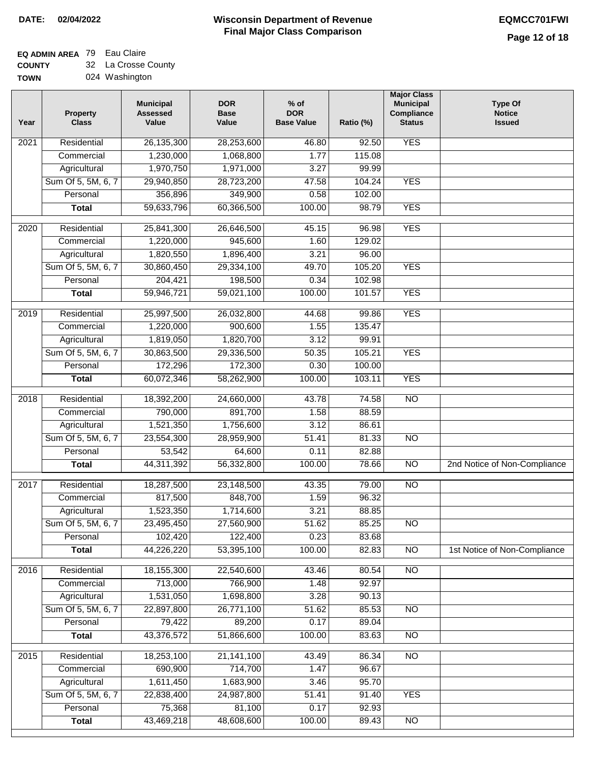### **Wisconsin Department of Revenue Final Major Class Comparison DATE: 02/04/2022 EQMCC701FWI**

### **EQ ADMIN AREA** 79 Eau Claire

**COUNTY** 32 La Crosse County

| <b>TOWN</b> | 024 Washington |
|-------------|----------------|
|             |                |

| Year | <b>Property</b><br><b>Class</b> | <b>Municipal</b><br><b>Assessed</b><br>Value | <b>DOR</b><br><b>Base</b><br>Value | $%$ of<br><b>DOR</b><br><b>Base Value</b> | Ratio (%) | <b>Major Class</b><br><b>Municipal</b><br>Compliance<br><b>Status</b> | <b>Type Of</b><br><b>Notice</b><br><b>Issued</b> |
|------|---------------------------------|----------------------------------------------|------------------------------------|-------------------------------------------|-----------|-----------------------------------------------------------------------|--------------------------------------------------|
| 2021 | Residential                     | 26,135,300                                   | 28,253,600                         | 46.80                                     | 92.50     | <b>YES</b>                                                            |                                                  |
|      | Commercial                      | 1,230,000                                    | 1,068,800                          | 1.77                                      | 115.08    |                                                                       |                                                  |
|      | Agricultural                    | 1,970,750                                    | 1,971,000                          | 3.27                                      | 99.99     |                                                                       |                                                  |
|      | Sum Of 5, 5M, 6, 7              | 29,940,850                                   | 28,723,200                         | 47.58                                     | 104.24    | <b>YES</b>                                                            |                                                  |
|      | Personal                        | 356,896                                      | 349,900                            | 0.58                                      | 102.00    |                                                                       |                                                  |
|      | <b>Total</b>                    | 59,633,796                                   | 60,366,500                         | 100.00                                    | 98.79     | <b>YES</b>                                                            |                                                  |
| 2020 | Residential                     | 25,841,300                                   | 26,646,500                         | 45.15                                     | 96.98     | <b>YES</b>                                                            |                                                  |
|      | Commercial                      | 1,220,000                                    | 945,600                            | 1.60                                      | 129.02    |                                                                       |                                                  |
|      | Agricultural                    | 1,820,550                                    | 1,896,400                          | 3.21                                      | 96.00     |                                                                       |                                                  |
|      | Sum Of 5, 5M, 6, 7              | 30,860,450                                   | 29,334,100                         | 49.70                                     | 105.20    | <b>YES</b>                                                            |                                                  |
|      | Personal                        | 204,421                                      | 198,500                            | 0.34                                      | 102.98    |                                                                       |                                                  |
|      | <b>Total</b>                    | 59,946,721                                   | 59,021,100                         | 100.00                                    | 101.57    | <b>YES</b>                                                            |                                                  |
| 2019 | Residential                     | 25,997,500                                   | 26,032,800                         | 44.68                                     | 99.86     | <b>YES</b>                                                            |                                                  |
|      | Commercial                      | 1,220,000                                    | 900,600                            | 1.55                                      | 135.47    |                                                                       |                                                  |
|      | Agricultural                    | 1,819,050                                    | 1,820,700                          | 3.12                                      | 99.91     |                                                                       |                                                  |
|      | Sum Of 5, 5M, 6, 7              | 30,863,500                                   | 29,336,500                         | 50.35                                     | 105.21    | <b>YES</b>                                                            |                                                  |
|      | Personal                        | 172,296                                      | 172,300                            | 0.30                                      | 100.00    |                                                                       |                                                  |
|      | <b>Total</b>                    | 60,072,346                                   | 58,262,900                         | 100.00                                    | 103.11    | <b>YES</b>                                                            |                                                  |
| 2018 | Residential                     | 18,392,200                                   | 24,660,000                         | 43.78                                     | 74.58     | $\overline{NO}$                                                       |                                                  |
|      | Commercial                      | 790,000                                      | 891,700                            | 1.58                                      | 88.59     |                                                                       |                                                  |
|      | Agricultural                    | 1,521,350                                    | 1,756,600                          | 3.12                                      | 86.61     |                                                                       |                                                  |
|      | Sum Of 5, 5M, 6, 7              | 23,554,300                                   | 28,959,900                         | 51.41                                     | 81.33     | N <sub>O</sub>                                                        |                                                  |
|      | Personal                        | 53,542                                       | 64,600                             | 0.11                                      | 82.88     |                                                                       |                                                  |
|      | <b>Total</b>                    | 44,311,392                                   | 56,332,800                         | 100.00                                    | 78.66     | $\overline{NO}$                                                       | 2nd Notice of Non-Compliance                     |
| 2017 | Residential                     | 18,287,500                                   | 23,148,500                         | 43.35                                     | 79.00     | $\overline{NO}$                                                       |                                                  |
|      | Commercial                      | 817,500                                      | 848,700                            | 1.59                                      | 96.32     |                                                                       |                                                  |
|      | Agricultural                    | 1,523,350                                    | 1,714,600                          | 3.21                                      | 88.85     |                                                                       |                                                  |
|      | Sum Of 5, 5M, 6, 7              | 23,495,450                                   | 27,560,900                         | 51.62                                     | 85.25     | <b>NO</b>                                                             |                                                  |
|      | Personal                        | 102,420                                      | 122,400                            | 0.23                                      | 83.68     |                                                                       |                                                  |
|      | <b>Total</b>                    | 44,226,220                                   | 53,395,100                         | 100.00                                    | 82.83     | $\overline{NO}$                                                       | 1st Notice of Non-Compliance                     |
| 2016 | Residential                     | 18,155,300                                   | 22,540,600                         | 43.46                                     | 80.54     | $\overline{NO}$                                                       |                                                  |
|      | Commercial                      | 713,000                                      | 766,900                            | 1.48                                      | 92.97     |                                                                       |                                                  |
|      | Agricultural                    | 1,531,050                                    | 1,698,800                          | 3.28                                      | 90.13     |                                                                       |                                                  |
|      | Sum Of 5, 5M, 6, 7              | 22,897,800                                   | 26,771,100                         | 51.62                                     | 85.53     | N <sub>O</sub>                                                        |                                                  |
|      | Personal                        | 79,422                                       | 89,200                             | 0.17                                      | 89.04     |                                                                       |                                                  |
|      | <b>Total</b>                    | 43,376,572                                   | 51,866,600                         | 100.00                                    | 83.63     | N <sub>O</sub>                                                        |                                                  |
| 2015 | Residential                     | 18,253,100                                   | 21, 141, 100                       | 43.49                                     | 86.34     | $\overline{NO}$                                                       |                                                  |
|      | Commercial                      | 690,900                                      | 714,700                            | 1.47                                      | 96.67     |                                                                       |                                                  |
|      | Agricultural                    | 1,611,450                                    | 1,683,900                          | 3.46                                      | 95.70     |                                                                       |                                                  |
|      | Sum Of 5, 5M, 6, 7              | 22,838,400                                   | 24,987,800                         | 51.41                                     | 91.40     | <b>YES</b>                                                            |                                                  |
|      | Personal                        | 75,368                                       | 81,100                             | 0.17                                      | 92.93     |                                                                       |                                                  |
|      | <b>Total</b>                    | 43,469,218                                   | 48,608,600                         | 100.00                                    | 89.43     | $\overline{NO}$                                                       |                                                  |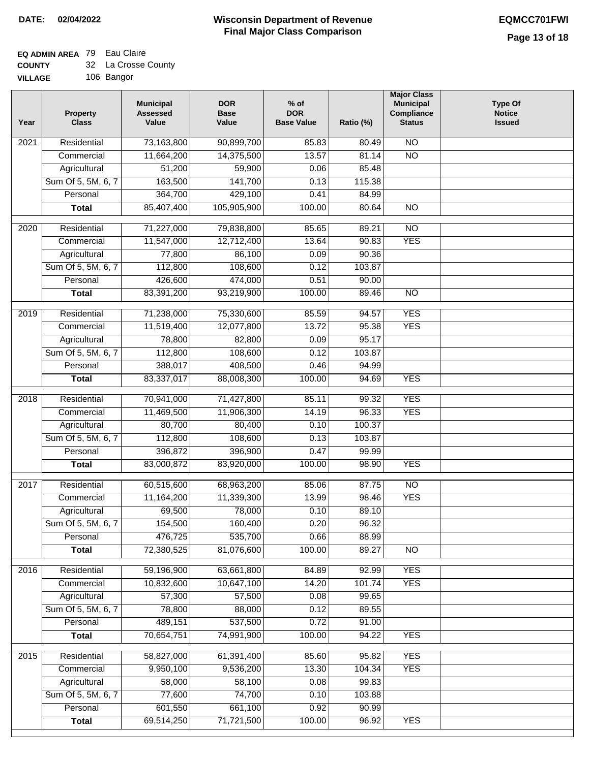#### **EQ ADMIN AREA** 79 Eau Claire

| <b>COUNTY</b>  | 32 La Crosse County |
|----------------|---------------------|
| <b>VILLAGE</b> | 106 Bangor          |

| AGE |  | 106 Bangor |
|-----|--|------------|
|-----|--|------------|

| Year              | <b>Property</b><br><b>Class</b>    | <b>Municipal</b><br><b>Assessed</b><br>Value | <b>DOR</b><br><b>Base</b><br>Value | $%$ of<br><b>DOR</b><br><b>Base Value</b> | Ratio (%)       | <b>Major Class</b><br><b>Municipal</b><br>Compliance<br><b>Status</b> | <b>Type Of</b><br><b>Notice</b><br><b>Issued</b> |
|-------------------|------------------------------------|----------------------------------------------|------------------------------------|-------------------------------------------|-----------------|-----------------------------------------------------------------------|--------------------------------------------------|
| $\overline{202}1$ | Residential                        | 73,163,800                                   | 90,899,700                         | 85.83                                     | 80.49           | $\overline{NO}$                                                       |                                                  |
|                   | Commercial                         | 11,664,200                                   | 14,375,500                         | 13.57                                     | 81.14           | $\overline{NO}$                                                       |                                                  |
|                   | Agricultural                       | 51,200                                       | 59,900                             | 0.06                                      | 85.48           |                                                                       |                                                  |
|                   | Sum Of 5, 5M, 6, 7                 | 163,500                                      | 141,700                            | 0.13                                      | 115.38          |                                                                       |                                                  |
|                   | Personal                           | 364,700                                      | 429,100                            | 0.41                                      | 84.99           |                                                                       |                                                  |
|                   | <b>Total</b>                       | 85,407,400                                   | 105,905,900                        | 100.00                                    | 80.64           | $\overline{NO}$                                                       |                                                  |
| $\overline{2020}$ | Residential                        | 71,227,000                                   | 79,838,800                         | 85.65                                     | 89.21           | $\overline{NO}$                                                       |                                                  |
|                   | Commercial                         | 11,547,000                                   | 12,712,400                         | 13.64                                     | 90.83           | <b>YES</b>                                                            |                                                  |
|                   | Agricultural                       | 77,800                                       | 86,100                             | 0.09                                      | 90.36           |                                                                       |                                                  |
|                   | Sum Of 5, 5M, 6, 7                 | 112,800                                      | 108,600                            | 0.12                                      | 103.87          |                                                                       |                                                  |
|                   | Personal                           | 426,600                                      | 474,000                            | 0.51                                      | 90.00           |                                                                       |                                                  |
|                   | <b>Total</b>                       | 83,391,200                                   | 93,219,900                         | 100.00                                    | 89.46           | $\overline{NO}$                                                       |                                                  |
|                   |                                    |                                              |                                    |                                           |                 |                                                                       |                                                  |
| 2019              | Residential                        | 71,238,000                                   | 75,330,600                         | 85.59                                     | 94.57           | <b>YES</b>                                                            |                                                  |
|                   | Commercial                         | 11,519,400                                   | 12,077,800                         | 13.72                                     | 95.38           | <b>YES</b>                                                            |                                                  |
|                   | Agricultural                       | 78,800                                       | 82,800                             | 0.09                                      | 95.17           |                                                                       |                                                  |
|                   | Sum Of 5, 5M, 6, 7                 | 112,800                                      | 108,600                            | 0.12                                      | 103.87          |                                                                       |                                                  |
|                   | Personal                           | 388,017                                      | 408,500                            | 0.46<br>100.00                            | 94.99           | <b>YES</b>                                                            |                                                  |
|                   | <b>Total</b>                       | 83,337,017                                   | 88,008,300                         |                                           | 94.69           |                                                                       |                                                  |
| 2018              | Residential                        | 70,941,000                                   | 71,427,800                         | 85.11                                     | 99.32           | <b>YES</b>                                                            |                                                  |
|                   | Commercial                         | 11,469,500                                   | 11,906,300                         | 14.19                                     | 96.33           | <b>YES</b>                                                            |                                                  |
|                   | Agricultural                       | 80,700                                       | 80,400                             | 0.10                                      | 100.37          |                                                                       |                                                  |
|                   | Sum Of 5, 5M, 6, 7                 | 112,800                                      | 108,600                            | 0.13                                      | 103.87          |                                                                       |                                                  |
|                   | Personal                           | 396,872                                      | 396,900                            | 0.47                                      | 99.99           |                                                                       |                                                  |
|                   | <b>Total</b>                       | 83,000,872                                   | 83,920,000                         | 100.00                                    | 98.90           | <b>YES</b>                                                            |                                                  |
| 2017              | Residential                        | 60,515,600                                   | 68,963,200                         | 85.06                                     | 87.75           | $\overline{NO}$                                                       |                                                  |
|                   | Commercial                         | 11,164,200                                   | 11,339,300                         | 13.99                                     | 98.46           | <b>YES</b>                                                            |                                                  |
|                   | Agricultural                       | 69,500                                       | 78,000                             | 0.10                                      | 89.10           |                                                                       |                                                  |
|                   | Sum Of 5, 5M, 6, 7                 | 154,500                                      | 160,400                            | 0.20                                      | 96.32           |                                                                       |                                                  |
|                   | Personal                           | 476,725                                      | 535,700                            | 0.66                                      | 88.99           |                                                                       |                                                  |
|                   | <b>Total</b>                       | 72,380,525                                   | 81,076,600                         | 100.00                                    | 89.27           | <b>NO</b>                                                             |                                                  |
|                   | Residential                        |                                              |                                    |                                           | 92.99           | <b>YES</b>                                                            |                                                  |
| 2016              |                                    | 59,196,900<br>10,832,600                     | 63,661,800<br>10,647,100           | 84.89<br>14.20                            |                 | <b>YES</b>                                                            |                                                  |
|                   | Commercial                         | 57,300                                       | 57,500                             | 0.08                                      | 101.74<br>99.65 |                                                                       |                                                  |
|                   | Agricultural<br>Sum Of 5, 5M, 6, 7 | 78,800                                       | 88,000                             | 0.12                                      | 89.55           |                                                                       |                                                  |
|                   | Personal                           | 489,151                                      | 537,500                            | 0.72                                      | 91.00           |                                                                       |                                                  |
|                   | <b>Total</b>                       | 70,654,751                                   | 74,991,900                         | 100.00                                    | 94.22           | <b>YES</b>                                                            |                                                  |
|                   |                                    |                                              |                                    |                                           |                 |                                                                       |                                                  |
| 2015              | Residential                        | 58,827,000                                   | 61,391,400                         | 85.60                                     | 95.82           | <b>YES</b>                                                            |                                                  |
|                   | Commercial                         | 9,950,100                                    | 9,536,200                          | 13.30                                     | 104.34          | <b>YES</b>                                                            |                                                  |
|                   | Agricultural                       | 58,000                                       | 58,100                             | 0.08                                      | 99.83           |                                                                       |                                                  |
|                   | Sum Of 5, 5M, 6, 7                 | 77,600                                       | 74,700                             | 0.10                                      | 103.88          |                                                                       |                                                  |
|                   | Personal                           | 601,550                                      | 661,100                            | 0.92                                      | 90.99           |                                                                       |                                                  |
|                   | <b>Total</b>                       | 69,514,250                                   | 71,721,500                         | 100.00                                    | 96.92           | <b>YES</b>                                                            |                                                  |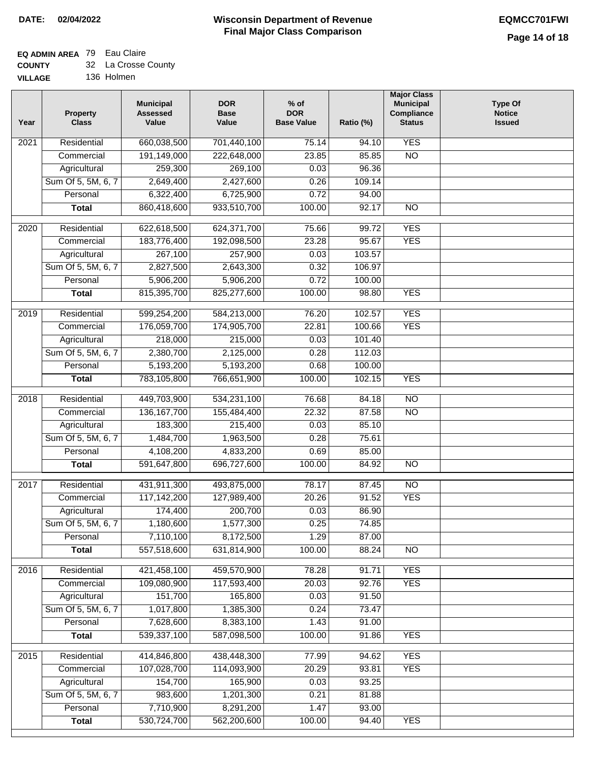# **EQ ADMIN AREA** 79 Eau Claire

|  | <b>COUNTY</b> |  | 32 La Crosse County |  |
|--|---------------|--|---------------------|--|
|--|---------------|--|---------------------|--|

**VILLAGE** 136 Holmen

| Year | <b>Property</b><br><b>Class</b> | <b>Municipal</b><br><b>Assessed</b><br>Value | <b>DOR</b><br><b>Base</b><br>Value | % of<br><b>DOR</b><br><b>Base Value</b> | Ratio (%) | <b>Major Class</b><br><b>Municipal</b><br>Compliance<br><b>Status</b> | <b>Type Of</b><br><b>Notice</b><br><b>Issued</b> |
|------|---------------------------------|----------------------------------------------|------------------------------------|-----------------------------------------|-----------|-----------------------------------------------------------------------|--------------------------------------------------|
| 2021 | Residential                     | 660,038,500                                  | 701,440,100                        | 75.14                                   | 94.10     | <b>YES</b>                                                            |                                                  |
|      | Commercial                      | 191,149,000                                  | 222,648,000                        | 23.85                                   | 85.85     | $\overline{NO}$                                                       |                                                  |
|      | Agricultural                    | 259,300                                      | 269,100                            | 0.03                                    | 96.36     |                                                                       |                                                  |
|      | Sum Of 5, 5M, 6, 7              | 2,649,400                                    | 2,427,600                          | 0.26                                    | 109.14    |                                                                       |                                                  |
|      | Personal                        | 6,322,400                                    | 6,725,900                          | 0.72                                    | 94.00     |                                                                       |                                                  |
|      | <b>Total</b>                    | 860,418,600                                  | 933,510,700                        | 100.00                                  | 92.17     | $\overline{NO}$                                                       |                                                  |
| 2020 | Residential                     | 622,618,500                                  | 624, 371, 700                      | 75.66                                   | 99.72     | <b>YES</b>                                                            |                                                  |
|      | Commercial                      | 183,776,400                                  | 192,098,500                        | 23.28                                   | 95.67     | <b>YES</b>                                                            |                                                  |
|      | Agricultural                    | 267,100                                      | 257,900                            | 0.03                                    | 103.57    |                                                                       |                                                  |
|      | Sum Of 5, 5M, 6, 7              | 2,827,500                                    | 2,643,300                          | 0.32                                    | 106.97    |                                                                       |                                                  |
|      | Personal                        | 5,906,200                                    | 5,906,200                          | 0.72                                    | 100.00    |                                                                       |                                                  |
|      | <b>Total</b>                    | 815,395,700                                  | 825,277,600                        | 100.00                                  | 98.80     | <b>YES</b>                                                            |                                                  |
| 2019 | Residential                     | 599,254,200                                  | 584,213,000                        | 76.20                                   | 102.57    | <b>YES</b>                                                            |                                                  |
|      | Commercial                      | 176,059,700                                  | 174,905,700                        | 22.81                                   | 100.66    | <b>YES</b>                                                            |                                                  |
|      | Agricultural                    | 218,000                                      | 215,000                            | 0.03                                    | 101.40    |                                                                       |                                                  |
|      | Sum Of 5, 5M, 6, 7              | 2,380,700                                    | 2,125,000                          | 0.28                                    | 112.03    |                                                                       |                                                  |
|      | Personal                        | 5,193,200                                    | 5,193,200                          | 0.68                                    | 100.00    |                                                                       |                                                  |
|      | <b>Total</b>                    | 783,105,800                                  | 766,651,900                        | 100.00                                  | 102.15    | <b>YES</b>                                                            |                                                  |
| 2018 | Residential                     | 449,703,900                                  | 534,231,100                        | 76.68                                   | 84.18     | $\overline{NO}$                                                       |                                                  |
|      | Commercial                      | 136, 167, 700                                | 155,484,400                        | 22.32                                   | 87.58     | <b>NO</b>                                                             |                                                  |
|      | Agricultural                    | 183,300                                      | 215,400                            | 0.03                                    | 85.10     |                                                                       |                                                  |
|      | Sum Of 5, 5M, 6, 7              | 1,484,700                                    | 1,963,500                          | 0.28                                    | 75.61     |                                                                       |                                                  |
|      | Personal                        | 4,108,200                                    | 4,833,200                          | 0.69                                    | 85.00     |                                                                       |                                                  |
|      | <b>Total</b>                    | 591,647,800                                  | 696,727,600                        | 100.00                                  | 84.92     | $\overline{10}$                                                       |                                                  |
| 2017 | Residential                     | 431,911,300                                  | 493,875,000                        | 78.17                                   | 87.45     | $\overline{NO}$                                                       |                                                  |
|      | Commercial                      | 117, 142, 200                                | 127,989,400                        | 20.26                                   | 91.52     | <b>YES</b>                                                            |                                                  |
|      | Agricultural                    | 174,400                                      | 200,700                            | 0.03                                    | 86.90     |                                                                       |                                                  |
|      | Sum Of 5, 5M, 6, 7              | 1,180,600                                    | 1,577,300                          | 0.25                                    | 74.85     |                                                                       |                                                  |
|      | Personal                        | 7,110,100                                    | 8,172,500                          | 1.29                                    | 87.00     |                                                                       |                                                  |
|      | <b>Total</b>                    | 557,518,600                                  | 631,814,900                        | 100.00                                  | 88.24     | <b>NO</b>                                                             |                                                  |
| 2016 | Residential                     | 421,458,100                                  | 459,570,900                        | 78.28                                   | 91.71     | <b>YES</b>                                                            |                                                  |
|      | Commercial                      | 109,080,900                                  | 117,593,400                        | 20.03                                   | 92.76     | <b>YES</b>                                                            |                                                  |
|      | Agricultural                    | 151,700                                      | 165,800                            | 0.03                                    | 91.50     |                                                                       |                                                  |
|      | Sum Of 5, 5M, 6, 7              | 1,017,800                                    | 1,385,300                          | 0.24                                    | 73.47     |                                                                       |                                                  |
|      | Personal                        | 7,628,600                                    | 8,383,100                          | 1.43                                    | 91.00     |                                                                       |                                                  |
|      | <b>Total</b>                    | 539,337,100                                  | 587,098,500                        | 100.00                                  | 91.86     | <b>YES</b>                                                            |                                                  |
| 2015 | Residential                     | 414,846,800                                  | 438,448,300                        | 77.99                                   | 94.62     | <b>YES</b>                                                            |                                                  |
|      | Commercial                      | 107,028,700                                  | 114,093,900                        | 20.29                                   | 93.81     | <b>YES</b>                                                            |                                                  |
|      | Agricultural                    | 154,700                                      | 165,900                            | 0.03                                    | 93.25     |                                                                       |                                                  |
|      | Sum Of 5, 5M, 6, 7              | 983,600                                      | 1,201,300                          | 0.21                                    | 81.88     |                                                                       |                                                  |
|      | Personal                        | 7,710,900                                    | 8,291,200                          | 1.47                                    | 93.00     |                                                                       |                                                  |
|      | <b>Total</b>                    | 530,724,700                                  | 562,200,600                        | 100.00                                  | 94.40     | <b>YES</b>                                                            |                                                  |
|      |                                 |                                              |                                    |                                         |           |                                                                       |                                                  |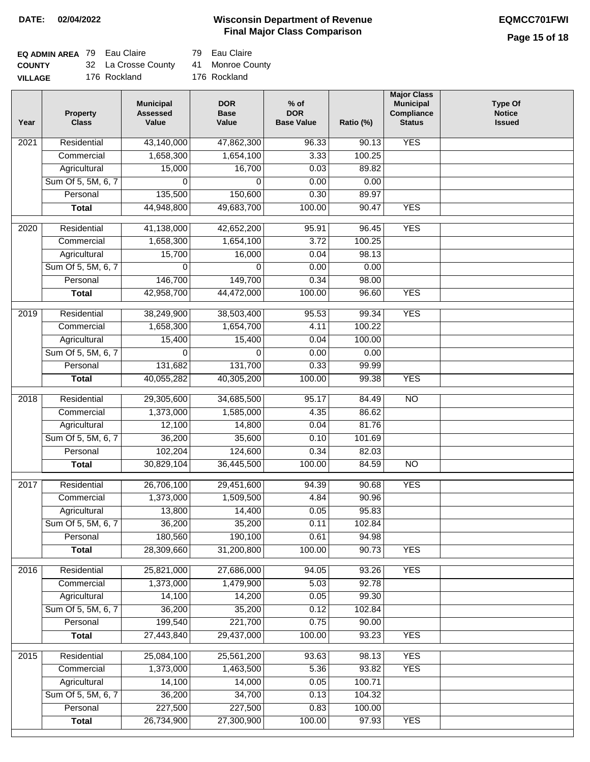### **Wisconsin Department of Revenue DATE: 02/04/2022 EQMCC701FWI Final Major Class Comparison**

## **Page 15 of 18**

| <b>EQ ADMIN AREA</b> 79 Eau Claire |                     | 79 Eau Claire |
|------------------------------------|---------------------|---------------|
| <b>COUNTY</b>                      | 32 La Crosse County | 41 Monroe Co  |
| <b>VILLAGE</b>                     | 176 Rockland        | 176 Rockland  |

| Eau Claire |
|------------|

Monroe County

6 Rockland

| Year              | <b>Property</b><br><b>Class</b> | <b>Municipal</b><br><b>Assessed</b><br>Value | <b>DOR</b><br><b>Base</b><br>Value | $%$ of<br><b>DOR</b><br><b>Base Value</b> | Ratio (%)      | <b>Major Class</b><br><b>Municipal</b><br>Compliance<br><b>Status</b> | <b>Type Of</b><br><b>Notice</b><br><b>Issued</b> |
|-------------------|---------------------------------|----------------------------------------------|------------------------------------|-------------------------------------------|----------------|-----------------------------------------------------------------------|--------------------------------------------------|
| 2021              | Residential                     | 43,140,000                                   | 47,862,300                         | 96.33                                     | 90.13          | <b>YES</b>                                                            |                                                  |
|                   | Commercial                      | 1,658,300                                    | 1,654,100                          | 3.33                                      | 100.25         |                                                                       |                                                  |
|                   | Agricultural                    | 15,000                                       | 16,700                             | 0.03                                      | 89.82          |                                                                       |                                                  |
|                   | Sum Of 5, 5M, 6, 7              | 0                                            | 0                                  | 0.00                                      | 0.00           |                                                                       |                                                  |
|                   | Personal                        | 135,500                                      | 150,600                            | 0.30                                      | 89.97          |                                                                       |                                                  |
|                   | <b>Total</b>                    | 44,948,800                                   | 49,683,700                         | 100.00                                    | 90.47          | <b>YES</b>                                                            |                                                  |
| $\overline{2020}$ | Residential                     | 41,138,000                                   | 42,652,200                         | 95.91                                     | 96.45          | <b>YES</b>                                                            |                                                  |
|                   | Commercial                      | 1,658,300                                    | 1,654,100                          | 3.72                                      | 100.25         |                                                                       |                                                  |
|                   | Agricultural                    | 15,700                                       | 16,000                             | 0.04                                      | 98.13          |                                                                       |                                                  |
|                   | Sum Of 5, 5M, 6, 7              | $\Omega$                                     | $\Omega$                           | 0.00                                      | 0.00           |                                                                       |                                                  |
|                   | Personal                        | 146,700                                      | 149,700                            | 0.34                                      | 98.00          |                                                                       |                                                  |
|                   | <b>Total</b>                    | 42,958,700                                   | 44,472,000                         | 100.00                                    | 96.60          | <b>YES</b>                                                            |                                                  |
| $\frac{2019}{ }$  | Residential                     | 38,249,900                                   | 38,503,400                         | 95.53                                     | 99.34          | <b>YES</b>                                                            |                                                  |
|                   | Commercial                      | 1,658,300                                    | 1,654,700                          | 4.11                                      | 100.22         |                                                                       |                                                  |
|                   | Agricultural                    | 15,400                                       | 15,400                             | 0.04                                      | 100.00         |                                                                       |                                                  |
|                   | Sum Of 5, 5M, 6, 7              | 0                                            | 0                                  | 0.00                                      | 0.00           |                                                                       |                                                  |
|                   | Personal                        | 131,682                                      | 131,700                            | 0.33                                      | 99.99          |                                                                       |                                                  |
|                   | <b>Total</b>                    | 40,055,282                                   | 40,305,200                         | 100.00                                    | 99.38          | <b>YES</b>                                                            |                                                  |
|                   |                                 |                                              |                                    |                                           |                |                                                                       |                                                  |
| 2018              | Residential                     | 29,305,600                                   | 34,685,500                         | 95.17                                     | 84.49          | $\overline{NO}$                                                       |                                                  |
|                   | Commercial                      | 1,373,000                                    | 1,585,000                          | 4.35                                      | 86.62          |                                                                       |                                                  |
|                   | Agricultural                    | 12,100                                       | 14,800                             | 0.04                                      | 81.76          |                                                                       |                                                  |
|                   | Sum Of 5, 5M, 6, 7              | 36,200                                       | 35,600                             | 0.10                                      | 101.69         |                                                                       |                                                  |
|                   | Personal                        | 102,204                                      | 124,600                            | 0.34                                      | 82.03<br>84.59 |                                                                       |                                                  |
|                   | <b>Total</b>                    | 30,829,104                                   | 36,445,500                         | 100.00                                    |                | N <sub>O</sub>                                                        |                                                  |
| 2017              | Residential                     | 26,706,100                                   | 29,451,600                         | 94.39                                     | 90.68          | <b>YES</b>                                                            |                                                  |
|                   | Commercial                      | 1,373,000                                    | 1,509,500                          | 4.84                                      | 90.96          |                                                                       |                                                  |
|                   | Agricultural                    | 13,800                                       | 14,400                             | 0.05                                      | 95.83          |                                                                       |                                                  |
|                   | Sum Of 5, 5M, 6, 7              | 36,200                                       | 35,200                             | 0.11                                      | 102.84         |                                                                       |                                                  |
|                   | Personal                        | 180,560                                      | 190,100                            | 0.61                                      | 94.98          |                                                                       |                                                  |
|                   | <b>Total</b>                    | 28,309,660                                   | 31,200,800                         | 100.00                                    | 90.73          | <b>YES</b>                                                            |                                                  |
| 2016              | Residential                     | 25,821,000                                   | 27,686,000                         | 94.05                                     | 93.26          | <b>YES</b>                                                            |                                                  |
|                   | Commercial                      | 1,373,000                                    | 1,479,900                          | 5.03                                      | 92.78          |                                                                       |                                                  |
|                   | Agricultural                    | 14,100                                       | 14,200                             | 0.05                                      | 99.30          |                                                                       |                                                  |
|                   | Sum Of 5, 5M, 6, 7              | 36,200                                       | 35,200                             | 0.12                                      | 102.84         |                                                                       |                                                  |
|                   | Personal                        | 199,540                                      | 221,700                            | 0.75                                      | 90.00          |                                                                       |                                                  |
|                   | <b>Total</b>                    | 27,443,840                                   | 29,437,000                         | 100.00                                    | 93.23          | <b>YES</b>                                                            |                                                  |
| 2015              | Residential                     | 25,084,100                                   | 25,561,200                         | 93.63                                     | 98.13          | <b>YES</b>                                                            |                                                  |
|                   | Commercial                      | 1,373,000                                    | 1,463,500                          | 5.36                                      | 93.82          | <b>YES</b>                                                            |                                                  |
|                   | Agricultural                    | 14,100                                       | 14,000                             | 0.05                                      | 100.71         |                                                                       |                                                  |
|                   | Sum Of 5, 5M, 6, 7              | 36,200                                       | 34,700                             | 0.13                                      | 104.32         |                                                                       |                                                  |
|                   | Personal                        | 227,500                                      | 227,500                            | 0.83                                      | 100.00         |                                                                       |                                                  |
|                   | <b>Total</b>                    | 26,734,900                                   | 27,300,900                         | 100.00                                    | 97.93          | <b>YES</b>                                                            |                                                  |
|                   |                                 |                                              |                                    |                                           |                |                                                                       |                                                  |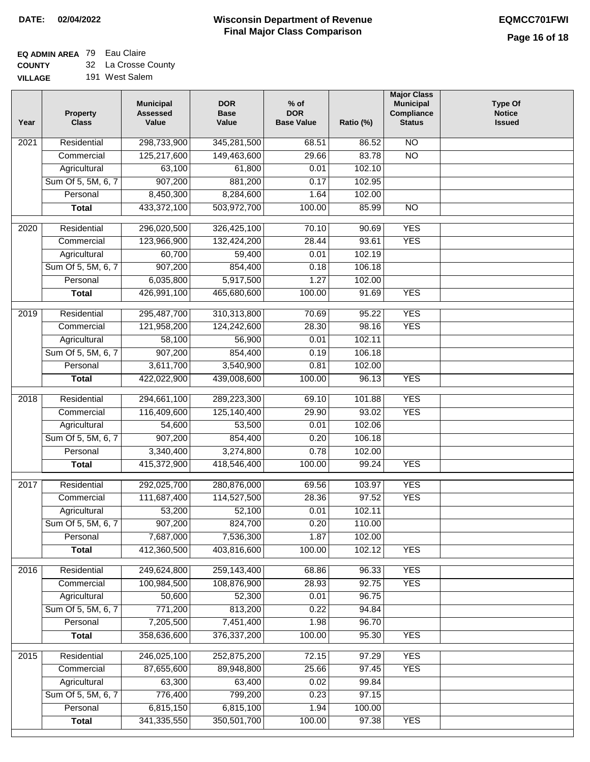### **Wisconsin Department of Revenue Final Major Class Comparison DATE: 02/04/2022 EQMCC701FWI**

# **EQ ADMIN AREA** 79 Eau Claire

**COUNTY VILLAGE** 32 La Crosse County

| 191 West Salem |
|----------------|
|                |

| Year              | <b>Property</b><br><b>Class</b> | <b>Municipal</b><br><b>Assessed</b><br>Value | <b>DOR</b><br><b>Base</b><br>Value | $%$ of<br><b>DOR</b><br><b>Base Value</b> | Ratio (%) | <b>Major Class</b><br><b>Municipal</b><br>Compliance<br><b>Status</b> | <b>Type Of</b><br><b>Notice</b><br><b>Issued</b> |
|-------------------|---------------------------------|----------------------------------------------|------------------------------------|-------------------------------------------|-----------|-----------------------------------------------------------------------|--------------------------------------------------|
| 2021              | Residential                     | 298,733,900                                  | 345,281,500                        | 68.51                                     | 86.52     | <b>NO</b>                                                             |                                                  |
|                   | Commercial                      | 125,217,600                                  | 149,463,600                        | 29.66                                     | 83.78     | $\overline{NO}$                                                       |                                                  |
|                   | Agricultural                    | 63,100                                       | 61,800                             | 0.01                                      | 102.10    |                                                                       |                                                  |
|                   | Sum Of 5, 5M, 6, 7              | 907,200                                      | 881,200                            | 0.17                                      | 102.95    |                                                                       |                                                  |
|                   | Personal                        | 8,450,300                                    | 8,284,600                          | 1.64                                      | 102.00    |                                                                       |                                                  |
|                   | <b>Total</b>                    | 433,372,100                                  | 503,972,700                        | 100.00                                    | 85.99     | $\overline{NO}$                                                       |                                                  |
| $\overline{2020}$ | Residential                     | 296,020,500                                  | 326,425,100                        | 70.10                                     | 90.69     | <b>YES</b>                                                            |                                                  |
|                   | Commercial                      | 123,966,900                                  | 132,424,200                        | 28.44                                     | 93.61     | <b>YES</b>                                                            |                                                  |
|                   | Agricultural                    | 60,700                                       | 59,400                             | 0.01                                      | 102.19    |                                                                       |                                                  |
|                   | Sum Of 5, 5M, 6, 7              | 907,200                                      | 854,400                            | 0.18                                      | 106.18    |                                                                       |                                                  |
|                   | Personal                        | 6,035,800                                    | 5,917,500                          | 1.27                                      | 102.00    |                                                                       |                                                  |
|                   | <b>Total</b>                    | 426,991,100                                  | 465,680,600                        | 100.00                                    | 91.69     | <b>YES</b>                                                            |                                                  |
|                   |                                 |                                              |                                    |                                           |           |                                                                       |                                                  |
| 2019              | Residential                     | 295,487,700                                  | 310,313,800                        | 70.69                                     | 95.22     | <b>YES</b>                                                            |                                                  |
|                   | Commercial                      | 121,958,200                                  | 124,242,600                        | 28.30                                     | 98.16     | <b>YES</b>                                                            |                                                  |
|                   | Agricultural                    | 58,100                                       | 56,900                             | 0.01                                      | 102.11    |                                                                       |                                                  |
|                   | Sum Of 5, 5M, 6, 7              | 907,200                                      | 854,400                            | 0.19                                      | 106.18    |                                                                       |                                                  |
|                   | Personal                        | 3,611,700                                    | 3,540,900                          | 0.81                                      | 102.00    |                                                                       |                                                  |
|                   | <b>Total</b>                    | 422,022,900                                  | 439,008,600                        | 100.00                                    | 96.13     | <b>YES</b>                                                            |                                                  |
| 2018              | Residential                     | 294,661,100                                  | 289,223,300                        | 69.10                                     | 101.88    | <b>YES</b>                                                            |                                                  |
|                   | Commercial                      | 116,409,600                                  | 125,140,400                        | 29.90                                     | 93.02     | <b>YES</b>                                                            |                                                  |
|                   | Agricultural                    | 54,600                                       | 53,500                             | 0.01                                      | 102.06    |                                                                       |                                                  |
|                   | Sum Of 5, 5M, 6, 7              | 907,200                                      | 854,400                            | 0.20                                      | 106.18    |                                                                       |                                                  |
|                   | Personal                        | 3,340,400                                    | 3,274,800                          | 0.78                                      | 102.00    |                                                                       |                                                  |
|                   | <b>Total</b>                    | 415,372,900                                  | 418,546,400                        | 100.00                                    | 99.24     | <b>YES</b>                                                            |                                                  |
| 2017              | Residential                     | 292,025,700                                  | 280,876,000                        | 69.56                                     | 103.97    | <b>YES</b>                                                            |                                                  |
|                   | Commercial                      | 111,687,400                                  | 114,527,500                        | 28.36                                     | 97.52     | <b>YES</b>                                                            |                                                  |
|                   | Agricultural                    | 53,200                                       | 52,100                             | 0.01                                      | 102.11    |                                                                       |                                                  |
|                   | Sum Of 5, 5M, 6, 7              | 907,200                                      | 824,700                            | 0.20                                      | 110.00    |                                                                       |                                                  |
|                   | Personal                        | 7,687,000                                    | 7,536,300                          | 1.87                                      | 102.00    |                                                                       |                                                  |
|                   | <b>Total</b>                    | 412,360,500                                  | 403,816,600                        | 100.00                                    | 102.12    | <b>YES</b>                                                            |                                                  |
| 2016              | Residential                     | 249,624,800                                  | 259,143,400                        | 68.86                                     | 96.33     | <b>YES</b>                                                            |                                                  |
|                   | Commercial                      | 100,984,500                                  | 108,876,900                        | 28.93                                     | 92.75     | <b>YES</b>                                                            |                                                  |
|                   | Agricultural                    | 50,600                                       | 52,300                             | 0.01                                      | 96.75     |                                                                       |                                                  |
|                   | Sum Of 5, 5M, 6, 7              | 771,200                                      | 813,200                            | 0.22                                      | 94.84     |                                                                       |                                                  |
|                   | Personal                        | 7,205,500                                    | 7,451,400                          | 1.98                                      | 96.70     |                                                                       |                                                  |
|                   |                                 | 358,636,600                                  | 376, 337, 200                      | 100.00                                    | 95.30     | <b>YES</b>                                                            |                                                  |
|                   | <b>Total</b>                    |                                              |                                    |                                           |           |                                                                       |                                                  |
| 2015              | Residential                     | 246,025,100                                  | 252,875,200                        | 72.15                                     | 97.29     | <b>YES</b>                                                            |                                                  |
|                   | Commercial                      | 87,655,600                                   | 89,948,800                         | 25.66                                     | 97.45     | <b>YES</b>                                                            |                                                  |
|                   | Agricultural                    | 63,300                                       | 63,400                             | 0.02                                      | 99.84     |                                                                       |                                                  |
|                   | Sum Of 5, 5M, 6, 7              | 776,400                                      | 799,200                            | 0.23                                      | 97.15     |                                                                       |                                                  |
|                   | Personal                        | 6,815,150                                    | 6,815,100                          | 1.94                                      | 100.00    |                                                                       |                                                  |
|                   | <b>Total</b>                    | 341,335,550                                  | 350,501,700                        | 100.00                                    | 97.38     | <b>YES</b>                                                            |                                                  |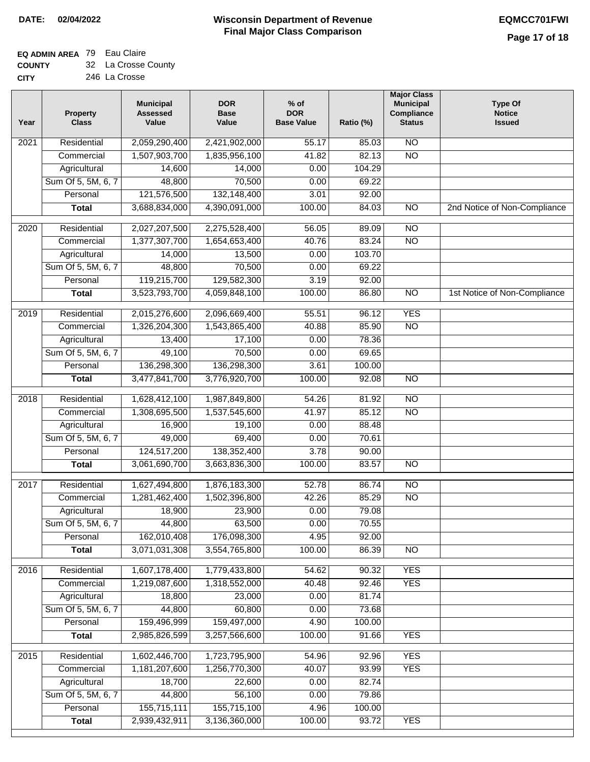## **EQ ADMIN AREA** 79 Eau Claire

| <b>COUNTY</b> | 32 La Crosse County |
|---------------|---------------------|
| CITY          | 246 La Crosse       |

| Year | <b>Property</b><br><b>Class</b> | <b>Municipal</b><br><b>Assessed</b><br>Value | <b>DOR</b><br><b>Base</b><br>Value | $%$ of<br><b>DOR</b><br><b>Base Value</b> | Ratio (%) | <b>Major Class</b><br><b>Municipal</b><br>Compliance<br><b>Status</b> | <b>Type Of</b><br><b>Notice</b><br><b>Issued</b> |
|------|---------------------------------|----------------------------------------------|------------------------------------|-------------------------------------------|-----------|-----------------------------------------------------------------------|--------------------------------------------------|
| 2021 | Residential                     | 2,059,290,400                                | 2,421,902,000                      | 55.17                                     | 85.03     | N <sub>O</sub>                                                        |                                                  |
|      | Commercial                      | 1,507,903,700                                | 1,835,956,100                      | 41.82                                     | 82.13     | $\overline{NO}$                                                       |                                                  |
|      | Agricultural                    | 14,600                                       | 14,000                             | 0.00                                      | 104.29    |                                                                       |                                                  |
|      | Sum Of 5, 5M, 6, 7              | 48,800                                       | 70,500                             | 0.00                                      | 69.22     |                                                                       |                                                  |
|      | Personal                        | 121,576,500                                  | 132,148,400                        | 3.01                                      | 92.00     |                                                                       |                                                  |
|      | <b>Total</b>                    | 3,688,834,000                                | 4,390,091,000                      | 100.00                                    | 84.03     | $\overline{NO}$                                                       | 2nd Notice of Non-Compliance                     |
| 2020 | Residential                     | 2,027,207,500                                | 2,275,528,400                      | 56.05                                     | 89.09     | $\overline{NO}$                                                       |                                                  |
|      | Commercial                      | 1,377,307,700                                | 1,654,653,400                      | 40.76                                     | 83.24     | $\overline{NO}$                                                       |                                                  |
|      | Agricultural                    | 14,000                                       | 13,500                             | 0.00                                      | 103.70    |                                                                       |                                                  |
|      | Sum Of 5, 5M, 6, 7              | 48,800                                       | 70,500                             | 0.00                                      | 69.22     |                                                                       |                                                  |
|      | Personal                        | 119,215,700                                  | 129,582,300                        | 3.19                                      | 92.00     |                                                                       |                                                  |
|      | <b>Total</b>                    | 3,523,793,700                                | 4,059,848,100                      | 100.00                                    | 86.80     | $\overline{NO}$                                                       | 1st Notice of Non-Compliance                     |
| 2019 | Residential                     | 2,015,276,600                                | 2,096,669,400                      | 55.51                                     | 96.12     | <b>YES</b>                                                            |                                                  |
|      | Commercial                      | 1,326,204,300                                | 1,543,865,400                      | 40.88                                     | 85.90     | $\overline{NO}$                                                       |                                                  |
|      | Agricultural                    | 13,400                                       | 17,100                             | 0.00                                      | 78.36     |                                                                       |                                                  |
|      | Sum Of 5, 5M, 6, 7              | 49,100                                       | 70,500                             | 0.00                                      | 69.65     |                                                                       |                                                  |
|      | Personal                        | 136,298,300                                  | 136,298,300                        | 3.61                                      | 100.00    |                                                                       |                                                  |
|      | <b>Total</b>                    | 3,477,841,700                                | 3,776,920,700                      | 100.00                                    | 92.08     | $\overline{NO}$                                                       |                                                  |
| 2018 | Residential                     | 1,628,412,100                                | 1,987,849,800                      | 54.26                                     | 81.92     | N <sub>O</sub>                                                        |                                                  |
|      | Commercial                      | 1,308,695,500                                | 1,537,545,600                      | 41.97                                     | 85.12     | <b>NO</b>                                                             |                                                  |
|      | Agricultural                    | 16,900                                       | 19,100                             | 0.00                                      | 88.48     |                                                                       |                                                  |
|      | Sum Of 5, 5M, 6, 7              | 49,000                                       | 69,400                             | 0.00                                      | 70.61     |                                                                       |                                                  |
|      | Personal                        | 124,517,200                                  | 138,352,400                        | 3.78                                      | 90.00     |                                                                       |                                                  |
|      | <b>Total</b>                    | 3,061,690,700                                | 3,663,836,300                      | 100.00                                    | 83.57     | <b>NO</b>                                                             |                                                  |
| 2017 | Residential                     | 1,627,494,800                                | 1,876,183,300                      | 52.78                                     | 86.74     | N <sub>O</sub>                                                        |                                                  |
|      | Commercial                      | 1,281,462,400                                | 1,502,396,800                      | 42.26                                     | 85.29     | <b>NO</b>                                                             |                                                  |
|      | Agricultural                    | 18,900                                       | 23,900                             | 0.00                                      | 79.08     |                                                                       |                                                  |
|      | Sum Of 5, 5M, 6, 7              | 44,800                                       | 63,500                             | 0.00                                      | 70.55     |                                                                       |                                                  |
|      | Personal                        | 162,010,408                                  | 176,098,300                        | 4.95                                      | 92.00     |                                                                       |                                                  |
|      | <b>Total</b>                    | 3,071,031,308                                | 3,554,765,800                      | 100.00                                    | 86.39     | <b>NO</b>                                                             |                                                  |
| 2016 | Residential                     | 1,607,178,400                                | 1,779,433,800                      | 54.62                                     | 90.32     | <b>YES</b>                                                            |                                                  |
|      | Commercial                      | 1,219,087,600                                | 1,318,552,000                      | 40.48                                     | 92.46     | <b>YES</b>                                                            |                                                  |
|      | Agricultural                    | 18,800                                       | 23,000                             | 0.00                                      | 81.74     |                                                                       |                                                  |
|      | Sum Of 5, 5M, 6, 7              | 44,800                                       | 60,800                             | 0.00                                      | 73.68     |                                                                       |                                                  |
|      | Personal                        | 159,496,999                                  | 159,497,000                        | 4.90                                      | 100.00    |                                                                       |                                                  |
|      | <b>Total</b>                    | 2,985,826,599                                | 3,257,566,600                      | 100.00                                    | 91.66     | <b>YES</b>                                                            |                                                  |
| 2015 | Residential                     | 1,602,446,700                                | 1,723,795,900                      | 54.96                                     | 92.96     | <b>YES</b>                                                            |                                                  |
|      | Commercial                      | 1,181,207,600                                | 1,256,770,300                      | 40.07                                     | 93.99     | <b>YES</b>                                                            |                                                  |
|      | Agricultural                    | 18,700                                       | 22,600                             | 0.00                                      | 82.74     |                                                                       |                                                  |
|      | Sum Of 5, 5M, 6, 7              | 44,800                                       | 56,100                             | 0.00                                      | 79.86     |                                                                       |                                                  |
|      | Personal                        | 155,715,111                                  | 155,715,100                        | 4.96                                      | 100.00    |                                                                       |                                                  |
|      | <b>Total</b>                    | 2,939,432,911                                | 3,136,360,000                      | 100.00                                    | 93.72     | <b>YES</b>                                                            |                                                  |
|      |                                 |                                              |                                    |                                           |           |                                                                       |                                                  |